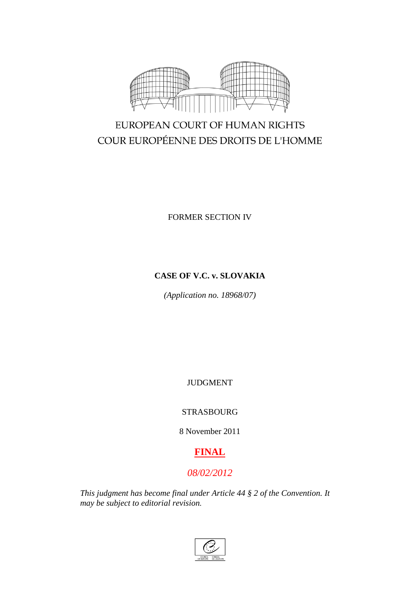

# EUROPEAN COURT OF HUMAN RIGHTS COUR EUROPÉENNE DES DROITS DE L'HOMME

FORMER SECTION IV

## **CASE OF V.C. v. SLOVAKIA**

*(Application no. 18968/07)*

JUDGMENT

## STRASBOURG

8 November 2011

# **FINAL**

## *08/02/2012*

*This judgment has become final under Article 44 § 2 of the Convention. It may be subject to editorial revision.*

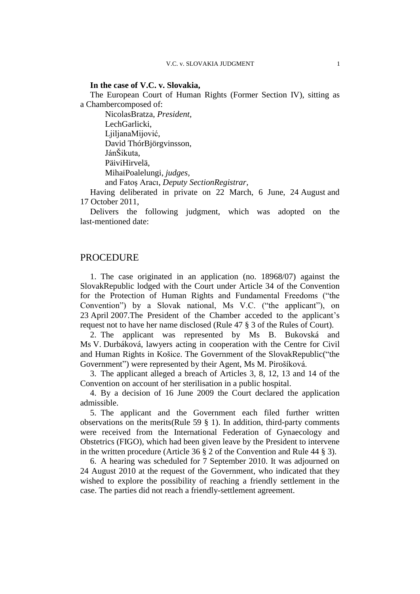## **In the case of V.C. v. Slovakia,**

The European Court of Human Rights (Former Section IV), sitting as a Chambercomposed of:

NicolasBratza, *President,* LechGarlicki, LjiljanaMijović, David ThórBjörgvinsson, JánŠikuta, PäiviHirvelä, MihaiPoalelungi, *judges,* and Fatoş Aracı, *Deputy SectionRegistrar,*

Having deliberated in private on 22 March, 6 June, 24 August and 17 October 2011,

Delivers the following judgment, which was adopted on the last-mentioned date:

## PROCEDURE

1. The case originated in an application (no. 18968/07) against the SlovakRepublic lodged with the Court under Article 34 of the Convention for the Protection of Human Rights and Fundamental Freedoms ("the Convention") by a Slovak national, Ms V.C. ("the applicant"), on 23 April 2007.The President of the Chamber acceded to the applicant"s request not to have her name disclosed (Rule 47 § 3 of the Rules of Court).

2. The applicant was represented by Ms B. Bukovská and Ms V. Durbáková, lawyers acting in cooperation with the Centre for Civil and Human Rights in Košice. The Government of the SlovakRepublic("the Government") were represented by their Agent, Ms M. Pirošíková.

3. The applicant alleged a breach of Articles 3, 8, 12, 13 and 14 of the Convention on account of her sterilisation in a public hospital.

4. By a decision of 16 June 2009 the Court declared the application admissible.

5. The applicant and the Government each filed further written observations on the merits(Rule 59  $\S$  1). In addition, third-party comments were received from the International Federation of Gynaecology and Obstetrics (FIGO), which had been given leave by the President to intervene in the written procedure (Article 36 § 2 of the Convention and Rule 44 § 3).

6. A hearing was scheduled for 7 September 2010. It was adjourned on 24 August 2010 at the request of the Government, who indicated that they wished to explore the possibility of reaching a friendly settlement in the case. The parties did not reach a friendly-settlement agreement.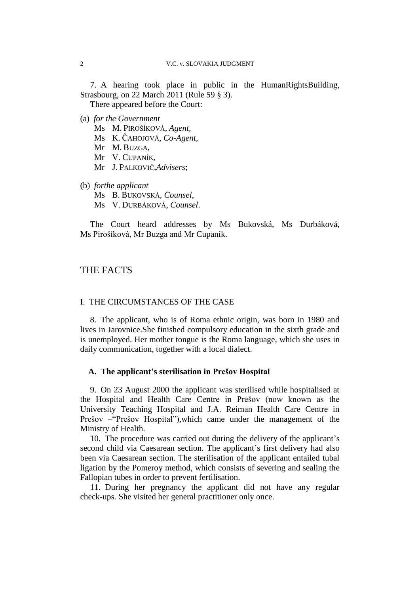7. A hearing took place in public in the HumanRightsBuilding, Strasbourg, on 22 March 2011 (Rule 59 § 3). There appeared before the Court:

- (a) *for the Government*
	- Ms M. PIROŠÍKOVÁ, *Agent*,
	- Ms K. ČAHOJOVÁ, *Co-Agent*,
	- Mr M. BUZGA,
	- Mr V. CUPANÍK,
	- Mr J. PALKOVIČ,*Advisers*;
- (b) *forthe applicant*

Ms B. BUKOVSKÁ, *Counsel*,

Ms V. DURBÁKOVÁ, *Counsel*.

The Court heard addresses by Ms Bukovská, Ms Durbáková, Ms Pirošíková, Mr Buzga and Mr Cupaník.

## THE FACTS

## I. THE CIRCUMSTANCES OF THE CASE

8. The applicant, who is of Roma ethnic origin, was born in 1980 and lives in Jarovnice.She finished compulsory education in the sixth grade and is unemployed. Her mother tongue is the Roma language, which she uses in daily communication, together with a local dialect.

#### **A. The applicant's sterilisation in Prešov Hospital**

9. On 23 August 2000 the applicant was sterilised while hospitalised at the Hospital and Health Care Centre in Prešov (now known as the University Teaching Hospital and J.A. Reiman Health Care Centre in Prešov –"Prešov Hospital"),which came under the management of the Ministry of Health.

10. The procedure was carried out during the delivery of the applicant"s second child via Caesarean section. The applicant's first delivery had also been via Caesarean section. The sterilisation of the applicant entailed tubal ligation by the Pomeroy method, which consists of severing and sealing the Fallopian tubes in order to prevent fertilisation.

11. During her pregnancy the applicant did not have any regular check-ups. She visited her general practitioner only once.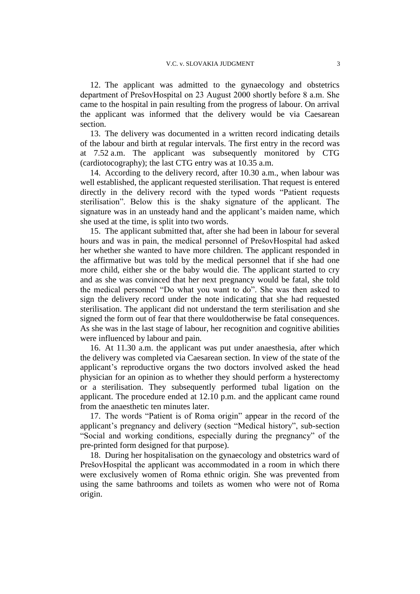12. The applicant was admitted to the gynaecology and obstetrics department of PrešovHospital on 23 August 2000 shortly before 8 a.m. She came to the hospital in pain resulting from the progress of labour. On arrival the applicant was informed that the delivery would be via Caesarean section.

13. The delivery was documented in a written record indicating details of the labour and birth at regular intervals. The first entry in the record was at 7.52 a.m. The applicant was subsequently monitored by CTG (cardiotocography); the last CTG entry was at 10.35 a.m.

14. According to the delivery record, after 10.30 a.m., when labour was well established, the applicant requested sterilisation. That request is entered directly in the delivery record with the typed words "Patient requests sterilisation". Below this is the shaky signature of the applicant. The signature was in an unsteady hand and the applicant's maiden name, which she used at the time, is split into two words.

15. The applicant submitted that, after she had been in labour for several hours and was in pain, the medical personnel of PrešovHospital had asked her whether she wanted to have more children. The applicant responded in the affirmative but was told by the medical personnel that if she had one more child, either she or the baby would die. The applicant started to cry and as she was convinced that her next pregnancy would be fatal, she told the medical personnel "Do what you want to do". She was then asked to sign the delivery record under the note indicating that she had requested sterilisation. The applicant did not understand the term sterilisation and she signed the form out of fear that there wouldotherwise be fatal consequences. As she was in the last stage of labour, her recognition and cognitive abilities were influenced by labour and pain.

16. At 11.30 a.m. the applicant was put under anaesthesia, after which the delivery was completed via Caesarean section. In view of the state of the applicant"s reproductive organs the two doctors involved asked the head physician for an opinion as to whether they should perform a hysterectomy or a sterilisation. They subsequently performed tubal ligation on the applicant. The procedure ended at 12.10 p.m. and the applicant came round from the anaesthetic ten minutes later.

17. The words "Patient is of Roma origin" appear in the record of the applicant"s pregnancy and delivery (section "Medical history", sub-section "Social and working conditions, especially during the pregnancy" of the pre-printed form designed for that purpose).

18. During her hospitalisation on the gynaecology and obstetrics ward of PrešovHospital the applicant was accommodated in a room in which there were exclusively women of Roma ethnic origin. She was prevented from using the same bathrooms and toilets as women who were not of Roma origin.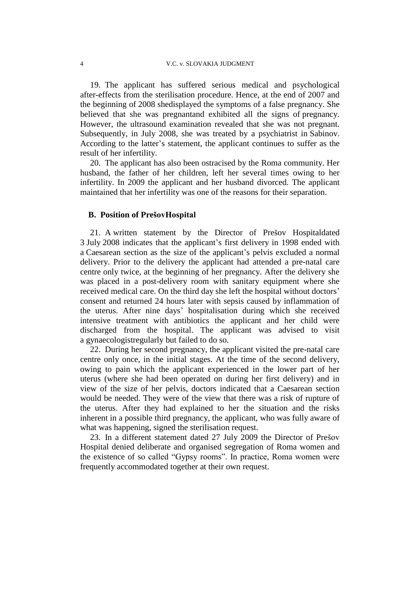19. The applicant has suffered serious medical and psychological after-effects from the sterilisation procedure. Hence, at the end of 2007 and the beginning of 2008 shedisplayed the symptoms of a false pregnancy. She believed that she was pregnantand exhibited all the signs of pregnancy. However, the ultrasound examination revealed that she was not pregnant. Subsequently, in July 2008, she was treated by a psychiatrist in Sabinov. According to the latter"s statement, the applicant continues to suffer as the result of her infertility.

20. The applicant has also been ostracised by the Roma community. Her husband, the father of her children, left her several times owing to her infertility. In 2009 the applicant and her husband divorced. The applicant maintained that her infertility was one of the reasons for their separation.

## **B. Position of PrešovHospital**

21. A written statement by the Director of Prešov Hospitaldated 3 July 2008 indicates that the applicant"s first delivery in 1998 ended with a Caesarean section as the size of the applicant"s pelvis excluded a normal delivery. Prior to the delivery the applicant had attended a pre-natal care centre only twice, at the beginning of her pregnancy. After the delivery she was placed in a post-delivery room with sanitary equipment where she received medical care. On the third day she left the hospital without doctors" consent and returned 24 hours later with sepsis caused by inflammation of the uterus. After nine days" hospitalisation during which she received intensive treatment with antibiotics the applicant and her child were discharged from the hospital. The applicant was advised to visit a gynaecologistregularly but failed to do so.

22. During her second pregnancy, the applicant visited the pre-natal care centre only once, in the initial stages. At the time of the second delivery, owing to pain which the applicant experienced in the lower part of her uterus (where she had been operated on during her first delivery) and in view of the size of her pelvis, doctors indicated that a Caesarean section would be needed. They were of the view that there was a risk of rupture of the uterus. After they had explained to her the situation and the risks inherent in a possible third pregnancy, the applicant, who was fully aware of what was happening, signed the sterilisation request.

23. In a different statement dated 27 July 2009 the Director of Prešov Hospital denied deliberate and organised segregation of Roma women and the existence of so called "Gypsy rooms". In practice, Roma women were frequently accommodated together at their own request.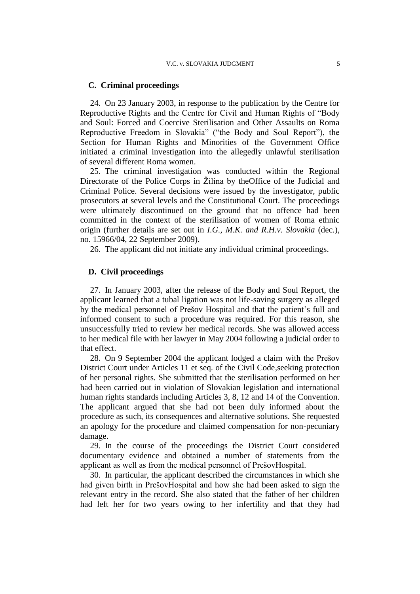## **C. Criminal proceedings**

24. On 23 January 2003, in response to the publication by the Centre for Reproductive Rights and the Centre for Civil and Human Rights of "Body and Soul: Forced and Coercive Sterilisation and Other Assaults on Roma Reproductive Freedom in Slovakia" ("the Body and Soul Report"), the Section for Human Rights and Minorities of the Government Office initiated a criminal investigation into the allegedly unlawful sterilisation of several different Roma women.

25. The criminal investigation was conducted within the Regional Directorate of the Police Corps in Žilina by the Office of the Judicial and Criminal Police. Several decisions were issued by the investigator, public prosecutors at several levels and the Constitutional Court. The proceedings were ultimately discontinued on the ground that no offence had been committed in the context of the sterilisation of women of Roma ethnic origin (further details are set out in *I.G., M.K. and R.H.v. Slovakia* (dec.), no. 15966/04, 22 September 2009).

26. The applicant did not initiate any individual criminal proceedings.

## **D. Civil proceedings**

27. In January 2003, after the release of the Body and Soul Report, the applicant learned that a tubal ligation was not life-saving surgery as alleged by the medical personnel of Prešov Hospital and that the patient"s full and informed consent to such a procedure was required. For this reason, she unsuccessfully tried to review her medical records. She was allowed access to her medical file with her lawyer in May 2004 following a judicial order to that effect.

28. On 9 September 2004 the applicant lodged a claim with the Prešov District Court under Articles 11 et seq. of the Civil Code,seeking protection of her personal rights. She submitted that the sterilisation performed on her had been carried out in violation of Slovakian legislation and international human rights standards including Articles 3, 8, 12 and 14 of the Convention. The applicant argued that she had not been duly informed about the procedure as such, its consequences and alternative solutions. She requested an apology for the procedure and claimed compensation for non-pecuniary damage.

29. In the course of the proceedings the District Court considered documentary evidence and obtained a number of statements from the applicant as well as from the medical personnel of PrešovHospital.

30. In particular, the applicant described the circumstances in which she had given birth in PrešovHospital and how she had been asked to sign the relevant entry in the record. She also stated that the father of her children had left her for two years owing to her infertility and that they had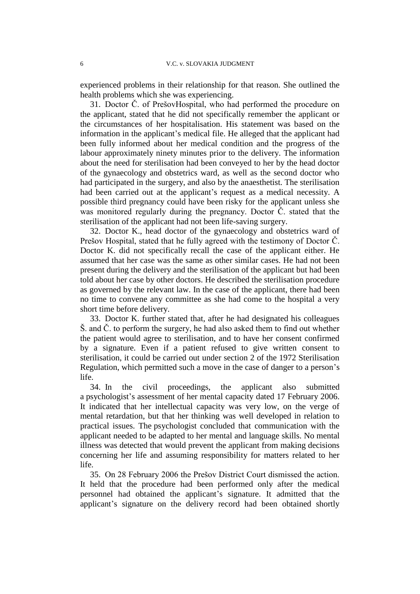experienced problems in their relationship for that reason. She outlined the health problems which she was experiencing.

31. Doctor Č. of PrešovHospital, who had performed the procedure on the applicant, stated that he did not specifically remember the applicant or the circumstances of her hospitalisation. His statement was based on the information in the applicant"s medical file. He alleged that the applicant had been fully informed about her medical condition and the progress of the labour approximately ninety minutes prior to the delivery. The information about the need for sterilisation had been conveyed to her by the head doctor of the gynaecology and obstetrics ward, as well as the second doctor who had participated in the surgery, and also by the anaesthetist. The sterilisation had been carried out at the applicant's request as a medical necessity. A possible third pregnancy could have been risky for the applicant unless she was monitored regularly during the pregnancy. Doctor Č. stated that the sterilisation of the applicant had not been life-saving surgery.

32. Doctor K., head doctor of the gynaecology and obstetrics ward of Prešov Hospital, stated that he fully agreed with the testimony of Doctor Č. Doctor K. did not specifically recall the case of the applicant either. He assumed that her case was the same as other similar cases. He had not been present during the delivery and the sterilisation of the applicant but had been told about her case by other doctors. He described the sterilisation procedure as governed by the relevant law. In the case of the applicant, there had been no time to convene any committee as she had come to the hospital a very short time before delivery.

33. Doctor K. further stated that, after he had designated his colleagues Š. and Č. to perform the surgery, he had also asked them to find out whether the patient would agree to sterilisation, and to have her consent confirmed by a signature. Even if a patient refused to give written consent to sterilisation, it could be carried out under section 2 of the 1972 Sterilisation Regulation, which permitted such a move in the case of danger to a person"s life.

34. In the civil proceedings, the applicant also submitted a psychologist's assessment of her mental capacity dated 17 February 2006. It indicated that her intellectual capacity was very low, on the verge of mental retardation, but that her thinking was well developed in relation to practical issues. The psychologist concluded that communication with the applicant needed to be adapted to her mental and language skills. No mental illness was detected that would prevent the applicant from making decisions concerning her life and assuming responsibility for matters related to her life.

35. On 28 February 2006 the Prešov District Court dismissed the action. It held that the procedure had been performed only after the medical personnel had obtained the applicant"s signature. It admitted that the applicant"s signature on the delivery record had been obtained shortly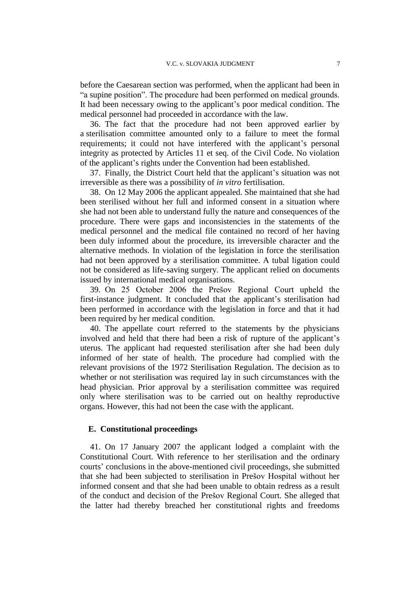before the Caesarean section was performed, when the applicant had been in "a supine position". The procedure had been performed on medical grounds. It had been necessary owing to the applicant's poor medical condition. The medical personnel had proceeded in accordance with the law.

36. The fact that the procedure had not been approved earlier by a sterilisation committee amounted only to a failure to meet the formal requirements; it could not have interfered with the applicant"s personal integrity as protected by Articles 11 et seq. of the Civil Code. No violation of the applicant"s rights under the Convention had been established.

37. Finally, the District Court held that the applicant"s situation was not irreversible as there was a possibility of *in vitro* fertilisation.

38. On 12 May 2006 the applicant appealed. She maintained that she had been sterilised without her full and informed consent in a situation where she had not been able to understand fully the nature and consequences of the procedure. There were gaps and inconsistencies in the statements of the medical personnel and the medical file contained no record of her having been duly informed about the procedure, its irreversible character and the alternative methods. In violation of the legislation in force the sterilisation had not been approved by a sterilisation committee. A tubal ligation could not be considered as life-saving surgery. The applicant relied on documents issued by international medical organisations.

39. On 25 October 2006 the Prešov Regional Court upheld the first-instance judgment. It concluded that the applicant's sterilisation had been performed in accordance with the legislation in force and that it had been required by her medical condition.

40. The appellate court referred to the statements by the physicians involved and held that there had been a risk of rupture of the applicant's uterus. The applicant had requested sterilisation after she had been duly informed of her state of health. The procedure had complied with the relevant provisions of the 1972 Sterilisation Regulation. The decision as to whether or not sterilisation was required lay in such circumstances with the head physician. Prior approval by a sterilisation committee was required only where sterilisation was to be carried out on healthy reproductive organs. However, this had not been the case with the applicant.

## **E. Constitutional proceedings**

41. On 17 January 2007 the applicant lodged a complaint with the Constitutional Court. With reference to her sterilisation and the ordinary courts" conclusions in the above-mentioned civil proceedings, she submitted that she had been subjected to sterilisation in Prešov Hospital without her informed consent and that she had been unable to obtain redress as a result of the conduct and decision of the Prešov Regional Court. She alleged that the latter had thereby breached her constitutional rights and freedoms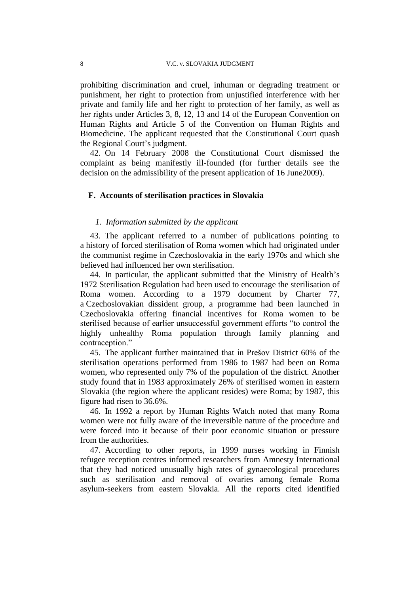prohibiting discrimination and cruel, inhuman or degrading treatment or punishment, her right to protection from unjustified interference with her private and family life and her right to protection of her family, as well as her rights under Articles 3, 8, 12, 13 and 14 of the European Convention on Human Rights and Article 5 of the Convention on Human Rights and Biomedicine. The applicant requested that the Constitutional Court quash the Regional Court's judgment.

42. On 14 February 2008 the Constitutional Court dismissed the complaint as being manifestly ill-founded (for further details see the decision on the admissibility of the present application of 16 June2009).

## **F. Accounts of sterilisation practices in Slovakia**

## *1. Information submitted by the applicant*

43. The applicant referred to a number of publications pointing to a history of forced sterilisation of Roma women which had originated under the communist regime in Czechoslovakia in the early 1970s and which she believed had influenced her own sterilisation.

44. In particular, the applicant submitted that the Ministry of Health"s 1972 Sterilisation Regulation had been used to encourage the sterilisation of Roma women. According to a 1979 document by Charter 77, a Czechoslovakian dissident group, a programme had been launched in Czechoslovakia offering financial incentives for Roma women to be sterilised because of earlier unsuccessful government efforts "to control the highly unhealthy Roma population through family planning and contraception."

45. The applicant further maintained that in Prešov District 60% of the sterilisation operations performed from 1986 to 1987 had been on Roma women, who represented only 7% of the population of the district. Another study found that in 1983 approximately 26% of sterilised women in eastern Slovakia (the region where the applicant resides) were Roma; by 1987, this figure had risen to 36.6%.

46. In 1992 a report by Human Rights Watch noted that many Roma women were not fully aware of the irreversible nature of the procedure and were forced into it because of their poor economic situation or pressure from the authorities.

47. According to other reports, in 1999 nurses working in Finnish refugee reception centres informed researchers from Amnesty International that they had noticed unusually high rates of gynaecological procedures such as sterilisation and removal of ovaries among female Roma asylum-seekers from eastern Slovakia. All the reports cited identified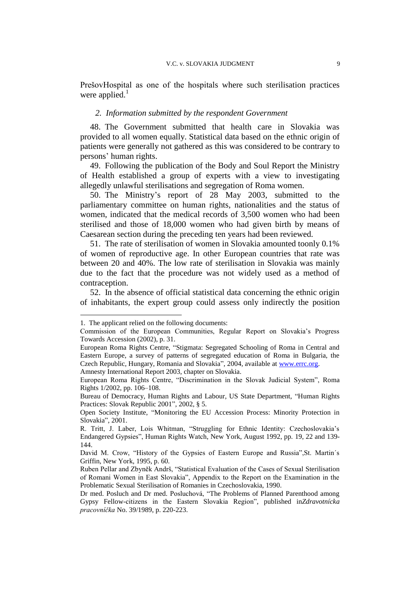PrešovHospital as one of the hospitals where such sterilisation practices were applied. $<sup>1</sup>$ </sup>

## *2. Information submitted by the respondent Government*

48. The Government submitted that health care in Slovakia was provided to all women equally. Statistical data based on the ethnic origin of patients were generally not gathered as this was considered to be contrary to persons" human rights.

49. Following the publication of the Body and Soul Report the Ministry of Health established a group of experts with a view to investigating allegedly unlawful sterilisations and segregation of Roma women.

50. The Ministry"s report of 28 May 2003, submitted to the parliamentary committee on human rights, nationalities and the status of women, indicated that the medical records of 3,500 women who had been sterilised and those of 18,000 women who had given birth by means of Caesarean section during the preceding ten years had been reviewed.

51. The rate of sterilisation of women in Slovakia amounted toonly 0.1% of women of reproductive age. In other European countries that rate was between 20 and 40%. The low rate of sterilisation in Slovakia was mainly due to the fact that the procedure was not widely used as a method of contraception.

52. In the absence of official statistical data concerning the ethnic origin of inhabitants, the expert group could assess only indirectly the position

<u>.</u>

<sup>1.</sup> The applicant relied on the following documents:

Commission of the European Communities, Regular Report on Slovakia's Progress Towards Accession (2002), p. 31.

European Roma Rights Centre, "Stigmata: Segregated Schooling of Roma in Central and Eastern Europe, a survey of patterns of segregated education of Roma in Bulgaria, the Czech Republic, Hungary, Romania and Slovakia", 2004, available at [www.errc.org.](http://www.errc.org/) Amnesty International Report 2003, chapter on Slovakia.

European Roma Rights Centre, "Discrimination in the Slovak Judicial System", Roma Rights 1/2002, pp. 106–108.

Bureau of Democracy, Human Rights and Labour, US State Department, "Human Rights Practices: Slovak Republic 2001", 2002, § 5.

Open Society Institute, "Monitoring the EU Accession Process: Minority Protection in Slovakia", 2001.

R. Tritt, J. Laber, Lois Whitman, "Struggling for Ethnic Identity: Czechoslovakia"s Endangered Gypsies", Human Rights Watch, New York, August 1992, pp. 19, 22 and 139- 144.

David M. Crow, "History of the Gypsies of Eastern Europe and Russia",St. Martin´s Griffin, New York, 1995, p. 60.

Ruben Pellar and Zbyněk Andrš, "Statistical Evaluation of the Cases of Sexual Sterilisation of Romani Women in East Slovakia", Appendix to the Report on the Examination in the Problematic Sexual Sterilisation of Romanies in Czechoslovakia, 1990.

Dr med. Posluch and Dr med. Posluchová, "The Problems of Planned Parenthood among Gypsy Fellow-citizens in the Eastern Slovakia Region", published in*Zdravotnícka pracovníčka* No. 39/1989, p. 220-223.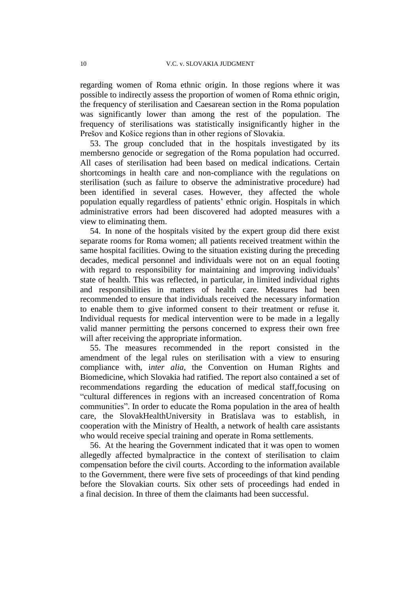regarding women of Roma ethnic origin. In those regions where it was possible to indirectly assess the proportion of women of Roma ethnic origin, the frequency of sterilisation and Caesarean section in the Roma population was significantly lower than among the rest of the population. The frequency of sterilisations was statistically insignificantly higher in the Prešov and Košice regions than in other regions of Slovakia.

53. The group concluded that in the hospitals investigated by its membersno genocide or segregation of the Roma population had occurred. All cases of sterilisation had been based on medical indications. Certain shortcomings in health care and non-compliance with the regulations on sterilisation (such as failure to observe the administrative procedure) had been identified in several cases. However, they affected the whole population equally regardless of patients' ethnic origin. Hospitals in which administrative errors had been discovered had adopted measures with a view to eliminating them.

54. In none of the hospitals visited by the expert group did there exist separate rooms for Roma women; all patients received treatment within the same hospital facilities. Owing to the situation existing during the preceding decades, medical personnel and individuals were not on an equal footing with regard to responsibility for maintaining and improving individuals' state of health. This was reflected, in particular, in limited individual rights and responsibilities in matters of health care. Measures had been recommended to ensure that individuals received the necessary information to enable them to give informed consent to their treatment or refuse it. Individual requests for medical intervention were to be made in a legally valid manner permitting the persons concerned to express their own free will after receiving the appropriate information.

55. The measures recommended in the report consisted in the amendment of the legal rules on sterilisation with a view to ensuring compliance with, i*nter alia*, the Convention on Human Rights and Biomedicine, which Slovakia had ratified. The report also contained a set of recommendations regarding the education of medical staff,focusing on "cultural differences in regions with an increased concentration of Roma communities". In order to educate the Roma population in the area of health care, the SlovakHealthUniversity in Bratislava was to establish, in cooperation with the Ministry of Health, a network of health care assistants who would receive special training and operate in Roma settlements.

56. At the hearing the Government indicated that it was open to women allegedly affected bymalpractice in the context of sterilisation to claim compensation before the civil courts. According to the information available to the Government, there were five sets of proceedings of that kind pending before the Slovakian courts. Six other sets of proceedings had ended in a final decision. In three of them the claimants had been successful.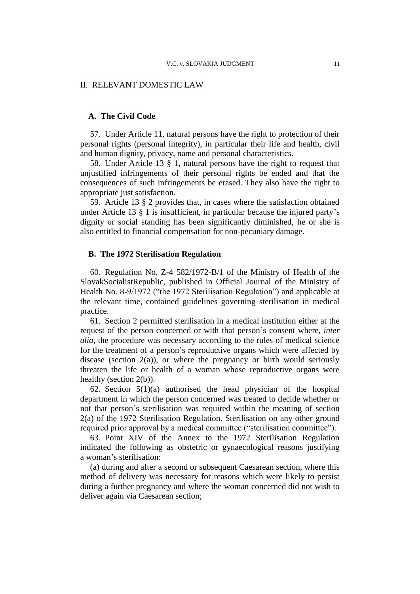## II. RELEVANT DOMESTIC LAW

## **A. The Civil Code**

57. Under Article 11, natural persons have the right to protection of their personal rights (personal integrity), in particular their life and health, civil and human dignity, privacy, name and personal characteristics.

58. Under Article 13 § 1, natural persons have the right to request that unjustified infringements of their personal rights be ended and that the consequences of such infringements be erased. They also have the right to appropriate just satisfaction.

59. Article 13 § 2 provides that, in cases where the satisfaction obtained under Article 13 § 1 is insufficient, in particular because the injured party"s dignity or social standing has been significantly diminished, he or she is also entitled to financial compensation for non-pecuniary damage.

## **B. The 1972 Sterilisation Regulation**

60. Regulation No. Z-4 582/1972-B/1 of the Ministry of Health of the SlovakSocialistRepublic, published in Official Journal of the Ministry of Health No. 8-9/1972 ("the 1972 Sterilisation Regulation") and applicable at the relevant time, contained guidelines governing sterilisation in medical practice.

61. Section 2 permitted sterilisation in a medical institution either at the request of the person concerned or with that person"s consent where, *inter alia*, the procedure was necessary according to the rules of medical science for the treatment of a person"s reproductive organs which were affected by disease (section  $2(a)$ ), or where the pregnancy or birth would seriously threaten the life or health of a woman whose reproductive organs were healthy (section 2(b)).

62. Section  $5(1)(a)$  authorised the head physician of the hospital department in which the person concerned was treated to decide whether or not that person"s sterilisation was required within the meaning of section 2(a) of the 1972 Sterilisation Regulation. Sterilisation on any other ground required prior approval by a medical committee ("sterilisation committee").

63. Point XIV of the Annex to the 1972 Sterilisation Regulation indicated the following as obstetric or gynaecological reasons justifying a woman"s sterilisation:

(a) during and after a second or subsequent Caesarean section, where this method of delivery was necessary for reasons which were likely to persist during a further pregnancy and where the woman concerned did not wish to deliver again via Caesarean section;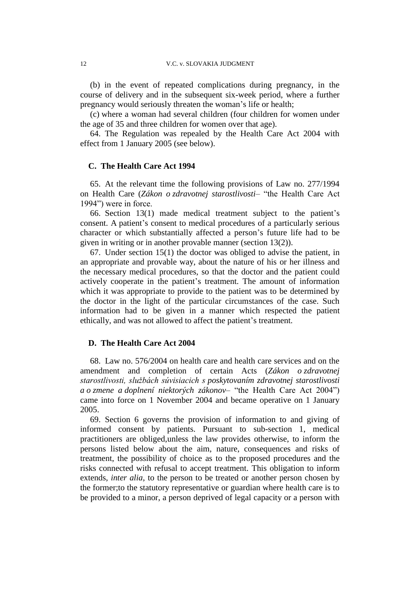(b) in the event of repeated complications during pregnancy, in the course of delivery and in the subsequent six-week period, where a further pregnancy would seriously threaten the woman"s life or health;

(c) where a woman had several children (four children for women under the age of 35 and three children for women over that age).

64. The Regulation was repealed by the Health Care Act 2004 with effect from 1 January 2005 (see below).

## **C. The Health Care Act 1994**

65. At the relevant time the following provisions of Law no. 277/1994 on Health Care (*Zákon o zdravotnej starostlivosti*– "the Health Care Act 1994") were in force.

66. Section 13(1) made medical treatment subject to the patient"s consent. A patient's consent to medical procedures of a particularly serious character or which substantially affected a person"s future life had to be given in writing or in another provable manner (section 13(2)).

67. Under section 15(1) the doctor was obliged to advise the patient, in an appropriate and provable way, about the nature of his or her illness and the necessary medical procedures, so that the doctor and the patient could actively cooperate in the patient"s treatment. The amount of information which it was appropriate to provide to the patient was to be determined by the doctor in the light of the particular circumstances of the case. Such information had to be given in a manner which respected the patient ethically, and was not allowed to affect the patient's treatment.

## **D. The Health Care Act 2004**

68. Law no. 576/2004 on health care and health care services and on the amendment and completion of certain Acts (*Zákon o zdravotnej starostlivosti, službách súvisiacich s poskytovaním zdravotnej starostlivosti a o zmene a doplnení niektorých zákonov*– "the Health Care Act 2004") came into force on 1 November 2004 and became operative on 1 January 2005.

69. Section 6 governs the provision of information to and giving of informed consent by patients. Pursuant to sub-section 1, medical practitioners are obliged,unless the law provides otherwise, to inform the persons listed below about the aim, nature, consequences and risks of treatment, the possibility of choice as to the proposed procedures and the risks connected with refusal to accept treatment. This obligation to inform extends, *inter alia*, to the person to be treated or another person chosen by the former;to the statutory representative or guardian where health care is to be provided to a minor, a person deprived of legal capacity or a person with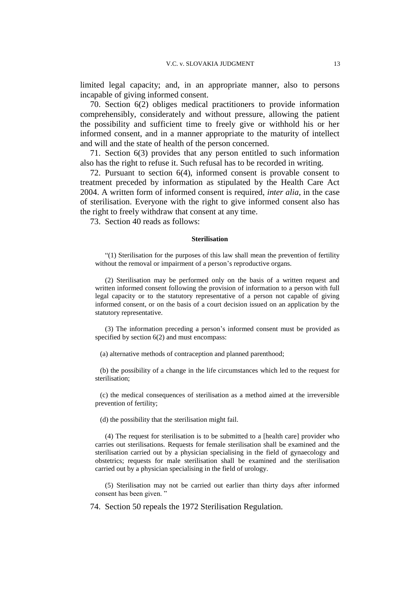limited legal capacity; and, in an appropriate manner, also to persons incapable of giving informed consent.

70. Section 6(2) obliges medical practitioners to provide information comprehensibly, considerately and without pressure, allowing the patient the possibility and sufficient time to freely give or withhold his or her informed consent, and in a manner appropriate to the maturity of intellect and will and the state of health of the person concerned.

71. Section 6(3) provides that any person entitled to such information also has the right to refuse it. Such refusal has to be recorded in writing.

72. Pursuant to section 6(4), informed consent is provable consent to treatment preceded by information as stipulated by the Health Care Act 2004. A written form of informed consent is required, *inter alia*, in the case of sterilisation. Everyone with the right to give informed consent also has the right to freely withdraw that consent at any time.

73. Section 40 reads as follows:

## **Sterilisation**

"(1) Sterilisation for the purposes of this law shall mean the prevention of fertility without the removal or impairment of a person's reproductive organs.

(2) Sterilisation may be performed only on the basis of a written request and written informed consent following the provision of information to a person with full legal capacity or to the statutory representative of a person not capable of giving informed consent, or on the basis of a court decision issued on an application by the statutory representative.

(3) The information preceding a person"s informed consent must be provided as specified by section 6(2) and must encompass:

(a) alternative methods of contraception and planned parenthood;

(b) the possibility of a change in the life circumstances which led to the request for sterilisation;

(c) the medical consequences of sterilisation as a method aimed at the irreversible prevention of fertility;

(d) the possibility that the sterilisation might fail.

(4) The request for sterilisation is to be submitted to a [health care] provider who carries out sterilisations. Requests for female sterilisation shall be examined and the sterilisation carried out by a physician specialising in the field of gynaecology and obstetrics; requests for male sterilisation shall be examined and the sterilisation carried out by a physician specialising in the field of urology.

(5) Sterilisation may not be carried out earlier than thirty days after informed consent has been given."

74. Section 50 repeals the 1972 Sterilisation Regulation.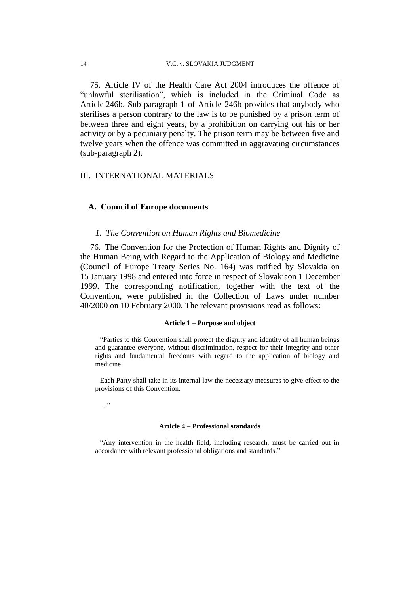75. Article IV of the Health Care Act 2004 introduces the offence of "unlawful sterilisation", which is included in the Criminal Code as Article 246b. Sub-paragraph 1 of Article 246b provides that anybody who sterilises a person contrary to the law is to be punished by a prison term of between three and eight years, by a prohibition on carrying out his or her activity or by a pecuniary penalty. The prison term may be between five and twelve years when the offence was committed in aggravating circumstances (sub-paragraph 2).

## III. INTERNATIONAL MATERIALS

## **A. Council of Europe documents**

#### *1. The Convention on Human Rights and Biomedicine*

76. The Convention for the Protection of Human Rights and Dignity of the Human Being with Regard to the Application of Biology and Medicine (Council of Europe Treaty Series No. 164) was ratified by Slovakia on 15 January 1998 and entered into force in respect of Slovakiaon 1 December 1999. The corresponding notification, together with the text of the Convention, were published in the Collection of Laws under number 40/2000 on 10 February 2000. The relevant provisions read as follows:

#### **Article 1 – Purpose and object**

"Parties to this Convention shall protect the dignity and identity of all human beings and guarantee everyone, without discrimination, respect for their integrity and other rights and fundamental freedoms with regard to the application of biology and medicine.

Each Party shall take in its internal law the necessary measures to give effect to the provisions of this Convention.

..."

#### **Article 4 – Professional standards**

"Any intervention in the health field, including research, must be carried out in accordance with relevant professional obligations and standards."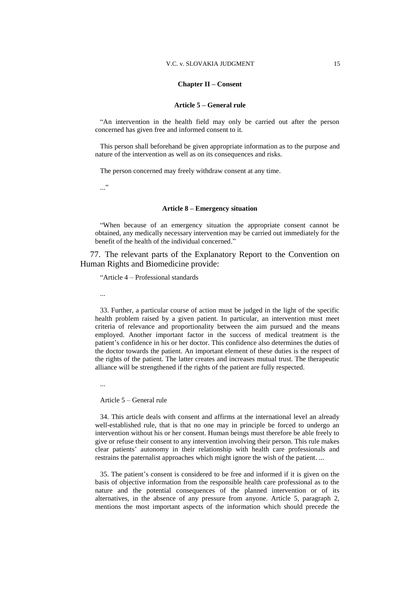#### **Chapter II – Consent**

#### **Article 5 – General rule**

"An intervention in the health field may only be carried out after the person concerned has given free and informed consent to it.

This person shall beforehand be given appropriate information as to the purpose and nature of the intervention as well as on its consequences and risks.

The person concerned may freely withdraw consent at any time.

..."

#### **Article 8 – Emergency situation**

"When because of an emergency situation the appropriate consent cannot be obtained, any medically necessary intervention may be carried out immediately for the benefit of the health of the individual concerned."

77. The relevant parts of the Explanatory Report to the Convention on Human Rights and Biomedicine provide:

"Article 4 – Professional standards

...

33. Further, a particular course of action must be judged in the light of the specific health problem raised by a given patient. In particular, an intervention must meet criteria of relevance and proportionality between the aim pursued and the means employed. Another important factor in the success of medical treatment is the patient's confidence in his or her doctor. This confidence also determines the duties of the doctor towards the patient. An important element of these duties is the respect of the rights of the patient. The latter creates and increases mutual trust. The therapeutic alliance will be strengthened if the rights of the patient are fully respected.

...

Article 5 – General rule

34. This article deals with consent and affirms at the international level an already well-established rule, that is that no one may in principle be forced to undergo an intervention without his or her consent. Human beings must therefore be able freely to give or refuse their consent to any intervention involving their person. This rule makes clear patients" autonomy in their relationship with health care professionals and restrains the paternalist approaches which might ignore the wish of the patient. ...

35. The patient"s consent is considered to be free and informed if it is given on the basis of objective information from the responsible health care professional as to the nature and the potential consequences of the planned intervention or of its alternatives, in the absence of any pressure from anyone. Article 5, paragraph 2, mentions the most important aspects of the information which should precede the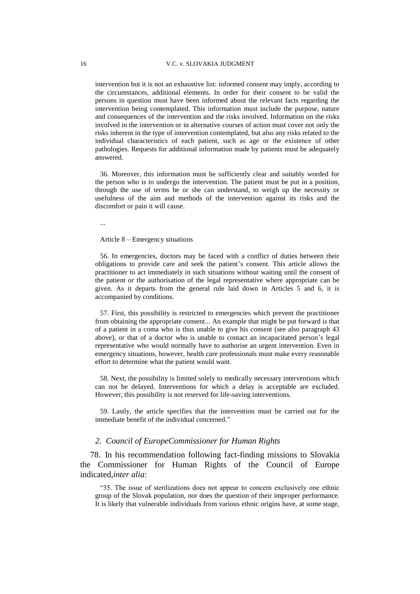intervention but it is not an exhaustive list: informed consent may imply, according to the circumstances, additional elements. In order for their consent to be valid the persons in question must have been informed about the relevant facts regarding the intervention being contemplated. This information must include the purpose, nature and consequences of the intervention and the risks involved. Information on the risks involved in the intervention or in alternative courses of action must cover not only the risks inherent in the type of intervention contemplated, but also any risks related to the individual characteristics of each patient, such as age or the existence of other pathologies. Requests for additional information made by patients must be adequately answered.

36. Moreover, this information must be sufficiently clear and suitably worded for the person who is to undergo the intervention. The patient must be put in a position, through the use of terms he or she can understand, to weigh up the necessity or usefulness of the aim and methods of the intervention against its risks and the discomfort or pain it will cause.

...

Article 8 – Emergency situations

56. In emergencies, doctors may be faced with a conflict of duties between their obligations to provide care and seek the patient"s consent. This article allows the practitioner to act immediately in such situations without waiting until the consent of the patient or the authorisation of the legal representative where appropriate can be given. As it departs from the general rule laid down in Articles 5 and 6, it is accompanied by conditions.

57. First, this possibility is restricted to emergencies which prevent the practitioner from obtaining the appropriate consent... An example that might be put forward is that of a patient in a coma who is thus unable to give his consent (see also paragraph 43 above), or that of a doctor who is unable to contact an incapacitated person"s legal representative who would normally have to authorise an urgent intervention. Even in emergency situations, however, health care professionals must make every reasonable effort to determine what the patient would want.

58. Next, the possibility is limited solely to medically necessary interventions which can not be delayed. Interventions for which a delay is acceptable are excluded. However, this possibility is not reserved for life-saving interventions.

59. Lastly, the article specifies that the intervention must be carried out for the immediate benefit of the individual concerned."

#### *2. Council of EuropeCommissioner for Human Rights*

78. In his recommendation following fact-finding missions to Slovakia the Commissioner for Human Rights of the Council of Europe indicated,*inter alia*:

"35. The issue of sterilizations does not appear to concern exclusively one ethnic group of the Slovak population, nor does the question of their improper performance. It is likely that vulnerable individuals from various ethnic origins have, at some stage,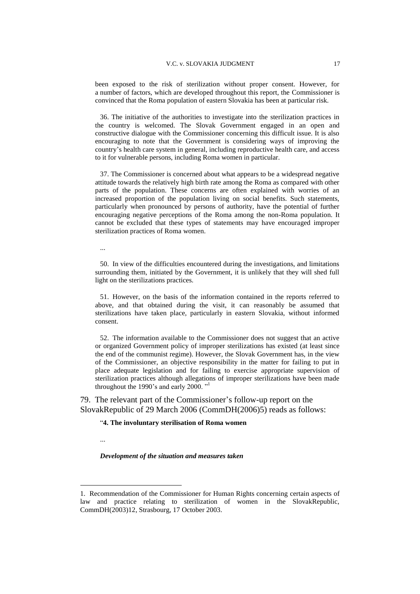been exposed to the risk of sterilization without proper consent. However, for a number of factors, which are developed throughout this report, the Commissioner is convinced that the Roma population of eastern Slovakia has been at particular risk.

36. The initiative of the authorities to investigate into the sterilization practices in the country is welcomed. The Slovak Government engaged in an open and constructive dialogue with the Commissioner concerning this difficult issue. It is also encouraging to note that the Government is considering ways of improving the country"s health care system in general, including reproductive health care, and access to it for vulnerable persons, including Roma women in particular.

37. The Commissioner is concerned about what appears to be a widespread negative attitude towards the relatively high birth rate among the Roma as compared with other parts of the population. These concerns are often explained with worries of an increased proportion of the population living on social benefits. Such statements, particularly when pronounced by persons of authority, have the potential of further encouraging negative perceptions of the Roma among the non-Roma population. It cannot be excluded that these types of statements may have encouraged improper sterilization practices of Roma women.

...

50. In view of the difficulties encountered during the investigations, and limitations surrounding them, initiated by the Government, it is unlikely that they will shed full light on the sterilizations practices.

51. However, on the basis of the information contained in the reports referred to above, and that obtained during the visit, it can reasonably be assumed that sterilizations have taken place, particularly in eastern Slovakia, without informed consent.

52. The information available to the Commissioner does not suggest that an active or organized Government policy of improper sterilizations has existed (at least since the end of the communist regime). However, the Slovak Government has, in the view of the Commissioner, an objective responsibility in the matter for failing to put in place adequate legislation and for failing to exercise appropriate supervision of sterilization practices although allegations of improper sterilizations have been made throughout the 1990's and early 2000."<sup>1</sup>

79. The relevant part of the Commissioner"s follow-up report on the SlovakRepublic of 29 March 2006 (CommDH(2006)5) reads as follows:

"**4. The involuntary sterilisation of Roma women**

...

<u>.</u>

*Development of the situation and measures taken*

<sup>1.</sup> Recommendation of the Commissioner for Human Rights concerning certain aspects of law and practice relating to sterilization of women in the SlovakRepublic, CommDH(2003)12, Strasbourg, 17 October 2003.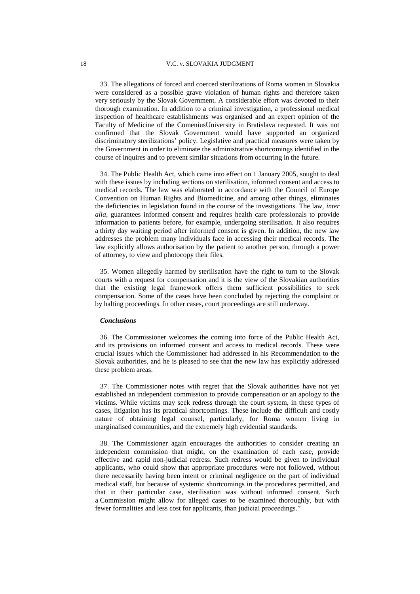33. The allegations of forced and coerced sterilizations of Roma women in Slovakia were considered as a possible grave violation of human rights and therefore taken very seriously by the Slovak Government. A considerable effort was devoted to their thorough examination. In addition to a criminal investigation, a professional medical inspection of healthcare establishments was organised and an expert opinion of the Faculty of Medicine of the ComeniusUniversity in Bratislava requested. It was not confirmed that the Slovak Government would have supported an organized discriminatory sterilizations" policy. Legislative and practical measures were taken by the Government in order to eliminate the administrative shortcomings identified in the course of inquires and to prevent similar situations from occurring in the future.

34. The Public Health Act, which came into effect on 1 January 2005, sought to deal with these issues by including sections on sterilisation, informed consent and access to medical records. The law was elaborated in accordance with the Council of Europe Convention on Human Rights and Biomedicine, and among other things, eliminates the deficiencies in legislation found in the course of the investigations. The law, *inter alia*, guarantees informed consent and requires health care professionals to provide information to patients before, for example, undergoing sterilisation. It also requires a thirty day waiting period after informed consent is given. In addition, the new law addresses the problem many individuals face in accessing their medical records. The law explicitly allows authorisation by the patient to another person, through a power of attorney, to view and photocopy their files.

35. Women allegedly harmed by sterilisation have the right to turn to the Slovak courts with a request for compensation and it is the view of the Slovakian authorities that the existing legal framework offers them sufficient possibilities to seek compensation. Some of the cases have been concluded by rejecting the complaint or by halting proceedings. In other cases, court proceedings are still underway.

#### *Conclusions*

36. The Commissioner welcomes the coming into force of the Public Health Act, and its provisions on informed consent and access to medical records. These were crucial issues which the Commissioner had addressed in his Recommendation to the Slovak authorities, and he is pleased to see that the new law has explicitly addressed these problem areas.

37. The Commissioner notes with regret that the Slovak authorities have not yet established an independent commission to provide compensation or an apology to the victims. While victims may seek redress through the court system, in these types of cases, litigation has its practical shortcomings. These include the difficult and costly nature of obtaining legal counsel, particularly, for Roma women living in marginalised communities, and the extremely high evidential standards.

38. The Commissioner again encourages the authorities to consider creating an independent commission that might, on the examination of each case, provide effective and rapid non-judicial redress. Such redress would be given to individual applicants, who could show that appropriate procedures were not followed, without there necessarily having been intent or criminal negligence on the part of individual medical staff, but because of systemic shortcomings in the procedures permitted, and that in their particular case, sterilisation was without informed consent. Such a Commission might allow for alleged cases to be examined thoroughly, but with fewer formalities and less cost for applicants, than judicial proceedings."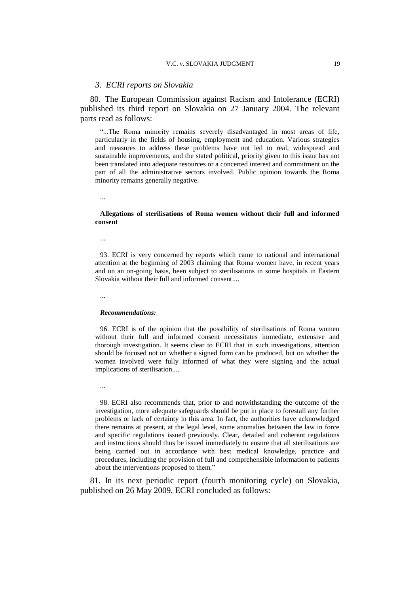#### *3. ECRI reports on Slovakia*

80. The European Commission against Racism and Intolerance (ECRI) published its third report on Slovakia on 27 January 2004. The relevant parts read as follows:

"...The Roma minority remains severely disadvantaged in most areas of life, particularly in the fields of housing, employment and education. Various strategies and measures to address these problems have not led to real, widespread and sustainable improvements, and the stated political, priority given to this issue has not been translated into adequate resources or a concerted interest and commitment on the part of all the administrative sectors involved. Public opinion towards the Roma minority remains generally negative.

...

#### **Allegations of sterilisations of Roma women without their full and informed consent**

...

93. ECRI is very concerned by reports which came to national and international attention at the beginning of 2003 claiming that Roma women have, in recent years and on an on-going basis, been subject to sterilisations in some hospitals in Eastern Slovakia without their full and informed consent....

...

#### *Recommendations:*

96. ECRI is of the opinion that the possibility of sterilisations of Roma women without their full and informed consent necessitates immediate, extensive and thorough investigation. It seems clear to ECRI that in such investigations, attention should be focused not on whether a signed form can be produced, but on whether the women involved were fully informed of what they were signing and the actual implications of sterilisation....

...

98. ECRI also recommends that, prior to and notwithstanding the outcome of the investigation, more adequate safeguards should be put in place to forestall any further problems or lack of certainty in this area. In fact, the authorities have acknowledged there remains at present, at the legal level, some anomalies between the law in force and specific regulations issued previously. Clear, detailed and coherent regulations and instructions should thus be issued immediately to ensure that all sterilisations are being carried out in accordance with best medical knowledge, practice and procedures, including the provision of full and comprehensible information to patients about the interventions proposed to them."

81. In its next periodic report (fourth monitoring cycle) on Slovakia, published on 26 May 2009, ECRI concluded as follows: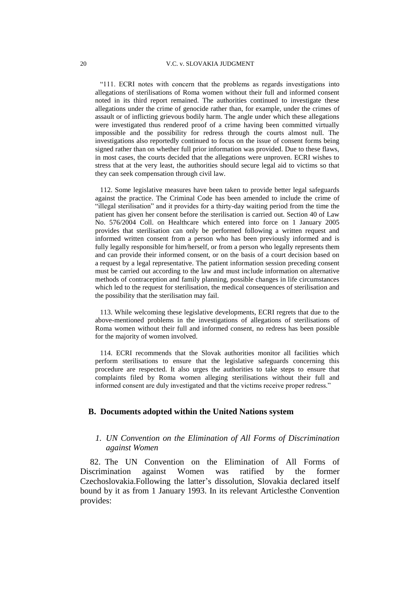"111. ECRI notes with concern that the problems as regards investigations into allegations of sterilisations of Roma women without their full and informed consent noted in its third report remained. The authorities continued to investigate these allegations under the crime of genocide rather than, for example, under the crimes of assault or of inflicting grievous bodily harm. The angle under which these allegations were investigated thus rendered proof of a crime having been committed virtually impossible and the possibility for redress through the courts almost null. The investigations also reportedly continued to focus on the issue of consent forms being signed rather than on whether full prior information was provided. Due to these flaws, in most cases, the courts decided that the allegations were unproven. ECRI wishes to stress that at the very least, the authorities should secure legal aid to victims so that they can seek compensation through civil law.

112. Some legislative measures have been taken to provide better legal safeguards against the practice. The Criminal Code has been amended to include the crime of "illegal sterilisation" and it provides for a thirty-day waiting period from the time the patient has given her consent before the sterilisation is carried out. Section 40 of Law No. 576/2004 Coll. on Healthcare which entered into force on 1 January 2005 provides that sterilisation can only be performed following a written request and informed written consent from a person who has been previously informed and is fully legally responsible for him/herself, or from a person who legally represents them and can provide their informed consent, or on the basis of a court decision based on a request by a legal representative. The patient information session preceding consent must be carried out according to the law and must include information on alternative methods of contraception and family planning, possible changes in life circumstances which led to the request for sterilisation, the medical consequences of sterilisation and the possibility that the sterilisation may fail.

113. While welcoming these legislative developments, ECRI regrets that due to the above-mentioned problems in the investigations of allegations of sterilisations of Roma women without their full and informed consent, no redress has been possible for the majority of women involved.

114. ECRI recommends that the Slovak authorities monitor all facilities which perform sterilisations to ensure that the legislative safeguards concerning this procedure are respected. It also urges the authorities to take steps to ensure that complaints filed by Roma women alleging sterilisations without their full and informed consent are duly investigated and that the victims receive proper redress."

### **B. Documents adopted within the United Nations system**

## *1. UN Convention on the Elimination of All Forms of Discrimination against Women*

82. The UN Convention on the Elimination of All Forms of Discrimination against Women was ratified by the former Czechoslovakia.Following the latter's dissolution, Slovakia declared itself bound by it as from 1 January 1993. In its relevant Articlesthe Convention provides: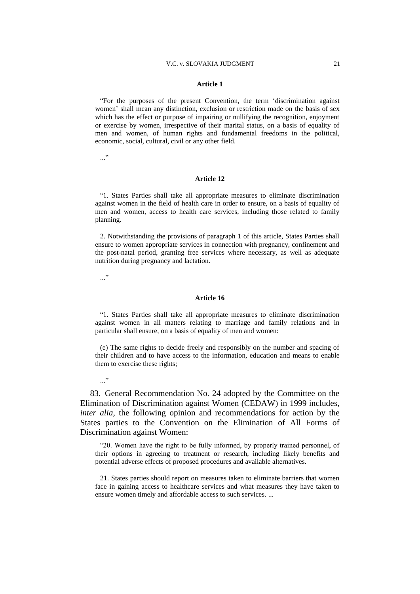#### V.C. v. SLOVAKIA JUDGMENT 21

#### **Article 1**

"For the purposes of the present Convention, the term "discrimination against women" shall mean any distinction, exclusion or restriction made on the basis of sex which has the effect or purpose of impairing or nullifying the recognition, enjoyment or exercise by women, irrespective of their marital status, on a basis of equality of men and women, of human rights and fundamental freedoms in the political, economic, social, cultural, civil or any other field.

..."

#### **Article 12**

"1. States Parties shall take all appropriate measures to eliminate discrimination against women in the field of health care in order to ensure, on a basis of equality of men and women, access to health care services, including those related to family planning.

2. Notwithstanding the provisions of paragraph 1 of this article, States Parties shall ensure to women appropriate services in connection with pregnancy, confinement and the post-natal period, granting free services where necessary, as well as adequate nutrition during pregnancy and lactation.

..."

 $\cdot$ ..."

#### **Article 16**

"1. States Parties shall take all appropriate measures to eliminate discrimination against women in all matters relating to marriage and family relations and in particular shall ensure, on a basis of equality of men and women:

(e) The same rights to decide freely and responsibly on the number and spacing of their children and to have access to the information, education and means to enable them to exercise these rights;

83. General Recommendation No. 24 adopted by the Committee on the Elimination of Discrimination against Women (CEDAW) in 1999 includes, *inter alia*, the following opinion and recommendations for action by the States parties to the Convention on the Elimination of All Forms of Discrimination against Women:

"20. Women have the right to be fully informed, by properly trained personnel, of their options in agreeing to treatment or research, including likely benefits and potential adverse effects of proposed procedures and available alternatives.

21. States parties should report on measures taken to eliminate barriers that women face in gaining access to healthcare services and what measures they have taken to ensure women timely and affordable access to such services. ...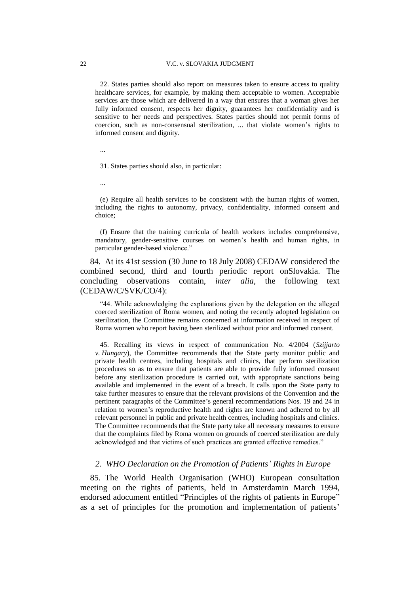22. States parties should also report on measures taken to ensure access to quality healthcare services, for example, by making them acceptable to women. Acceptable services are those which are delivered in a way that ensures that a woman gives her fully informed consent, respects her dignity, guarantees her confidentiality and is sensitive to her needs and perspectives. States parties should not permit forms of coercion, such as non-consensual sterilization, ... that violate women"s rights to informed consent and dignity.

...

31. States parties should also, in particular:

...

(e) Require all health services to be consistent with the human rights of women, including the rights to autonomy, privacy, confidentiality, informed consent and choice;

(f) Ensure that the training curricula of health workers includes comprehensive, mandatory, gender-sensitive courses on women"s health and human rights, in particular gender-based violence."

84. At its 41st session (30 June to 18 July 2008) CEDAW considered the combined second, third and fourth periodic report onSlovakia. The concluding observations contain, *inter alia*, the following text (CEDAW/C/SVK/CO/4):

"44. While acknowledging the explanations given by the delegation on the alleged coerced sterilization of Roma women, and noting the recently adopted legislation on sterilization, the Committee remains concerned at information received in respect of Roma women who report having been sterilized without prior and informed consent.

45. Recalling its views in respect of communication No. 4/2004 (*Szijjarto v. Hungary*), the Committee recommends that the State party monitor public and private health centres, including hospitals and clinics, that perform sterilization procedures so as to ensure that patients are able to provide fully informed consent before any sterilization procedure is carried out, with appropriate sanctions being available and implemented in the event of a breach. It calls upon the State party to take further measures to ensure that the relevant provisions of the Convention and the pertinent paragraphs of the Committee"s general recommendations Nos. 19 and 24 in relation to women"s reproductive health and rights are known and adhered to by all relevant personnel in public and private health centres, including hospitals and clinics. The Committee recommends that the State party take all necessary measures to ensure that the complaints filed by Roma women on grounds of coerced sterilization are duly acknowledged and that victims of such practices are granted effective remedies."

#### *2. WHO Declaration on the Promotion of Patients' Rights in Europe*

85. The World Health Organisation (WHO) European consultation meeting on the rights of patients, held in Amsterdamin March 1994, endorsed adocument entitled "Principles of the rights of patients in Europe" as a set of principles for the promotion and implementation of patients'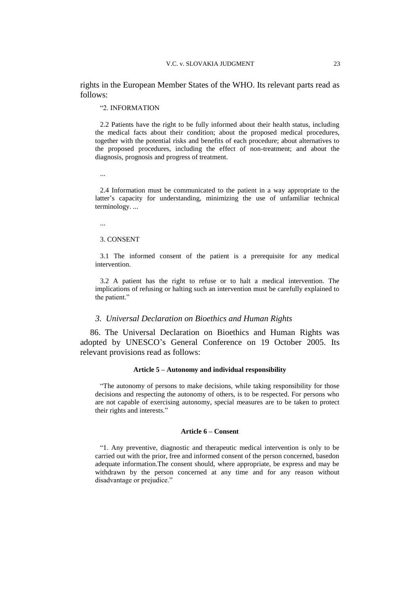rights in the European Member States of the WHO. Its relevant parts read as follows:

"2. INFORMATION

2.2 Patients have the right to be fully informed about their health status, including the medical facts about their condition; about the proposed medical procedures, together with the potential risks and benefits of each procedure; about alternatives to the proposed procedures, including the effect of non-treatment; and about the diagnosis, prognosis and progress of treatment.

...

2.4 Information must be communicated to the patient in a way appropriate to the latter"s capacity for understanding, minimizing the use of unfamiliar technical terminology. ...

...

#### 3. CONSENT

3.1 The informed consent of the patient is a prerequisite for any medical intervention.

3.2 A patient has the right to refuse or to halt a medical intervention. The implications of refusing or halting such an intervention must be carefully explained to the patient."

#### *3. Universal Declaration on Bioethics and Human Rights*

86. The Universal Declaration on Bioethics and Human Rights was adopted by UNESCO"s General Conference on 19 October 2005. Its relevant provisions read as follows:

#### **Article 5 – Autonomy and individual responsibility**

"The autonomy of persons to make decisions, while taking responsibility for those decisions and respecting the autonomy of others, is to be respected. For persons who are not capable of exercising autonomy, special measures are to be taken to protect their rights and interests."

#### **Article 6 – Consent**

"1. Any preventive, diagnostic and therapeutic medical intervention is only to be carried out with the prior, free and informed consent of the person concerned, basedon adequate information.The consent should, where appropriate, be express and may be withdrawn by the person concerned at any time and for any reason without disadvantage or prejudice."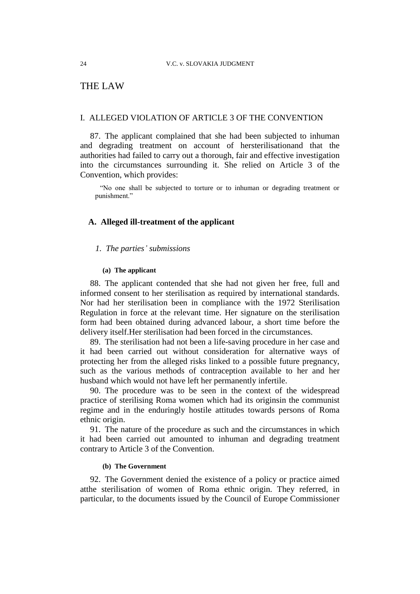## THE LAW

## I. ALLEGED VIOLATION OF ARTICLE 3 OF THE CONVENTION

87. The applicant complained that she had been subjected to inhuman and degrading treatment on account of hersterilisationand that the authorities had failed to carry out a thorough, fair and effective investigation into the circumstances surrounding it. She relied on Article 3 of the Convention, which provides:

"No one shall be subjected to torture or to inhuman or degrading treatment or punishment."

## **A. Alleged ill-treatment of the applicant**

#### *1. The parties' submissions*

#### **(a) The applicant**

88. The applicant contended that she had not given her free, full and informed consent to her sterilisation as required by international standards. Nor had her sterilisation been in compliance with the 1972 Sterilisation Regulation in force at the relevant time. Her signature on the sterilisation form had been obtained during advanced labour, a short time before the delivery itself.Her sterilisation had been forced in the circumstances.

89. The sterilisation had not been a life-saving procedure in her case and it had been carried out without consideration for alternative ways of protecting her from the alleged risks linked to a possible future pregnancy, such as the various methods of contraception available to her and her husband which would not have left her permanently infertile.

90. The procedure was to be seen in the context of the widespread practice of sterilising Roma women which had its originsin the communist regime and in the enduringly hostile attitudes towards persons of Roma ethnic origin.

91. The nature of the procedure as such and the circumstances in which it had been carried out amounted to inhuman and degrading treatment contrary to Article 3 of the Convention.

### **(b) The Government**

92. The Government denied the existence of a policy or practice aimed atthe sterilisation of women of Roma ethnic origin. They referred, in particular, to the documents issued by the Council of Europe Commissioner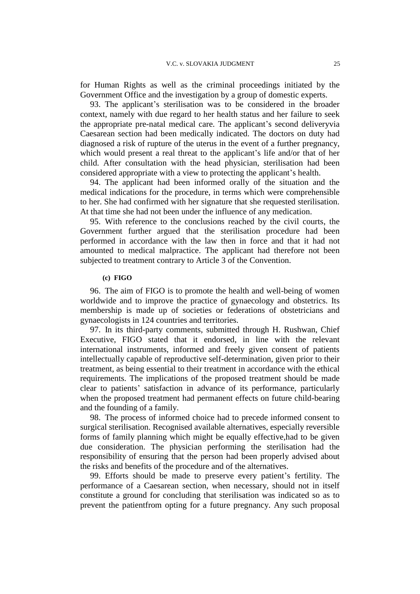for Human Rights as well as the criminal proceedings initiated by the Government Office and the investigation by a group of domestic experts.

93. The applicant"s sterilisation was to be considered in the broader context, namely with due regard to her health status and her failure to seek the appropriate pre-natal medical care. The applicant's second deliveryvia Caesarean section had been medically indicated. The doctors on duty had diagnosed a risk of rupture of the uterus in the event of a further pregnancy, which would present a real threat to the applicant's life and/or that of her child. After consultation with the head physician, sterilisation had been considered appropriate with a view to protecting the applicant's health.

94. The applicant had been informed orally of the situation and the medical indications for the procedure, in terms which were comprehensible to her. She had confirmed with her signature that she requested sterilisation. At that time she had not been under the influence of any medication.

95. With reference to the conclusions reached by the civil courts, the Government further argued that the sterilisation procedure had been performed in accordance with the law then in force and that it had not amounted to medical malpractice. The applicant had therefore not been subjected to treatment contrary to Article 3 of the Convention.

### **(c) FIGO**

96. The aim of FIGO is to promote the health and well-being of women worldwide and to improve the practice of gynaecology and obstetrics. Its membership is made up of societies or federations of obstetricians and gynaecologists in 124 countries and territories.

97. In its third-party comments, submitted through H. Rushwan, Chief Executive, FIGO stated that it endorsed, in line with the relevant international instruments, informed and freely given consent of patients intellectually capable of reproductive self-determination, given prior to their treatment, as being essential to their treatment in accordance with the ethical requirements. The implications of the proposed treatment should be made clear to patients" satisfaction in advance of its performance, particularly when the proposed treatment had permanent effects on future child-bearing and the founding of a family.

98. The process of informed choice had to precede informed consent to surgical sterilisation. Recognised available alternatives, especially reversible forms of family planning which might be equally effective,had to be given due consideration. The physician performing the sterilisation had the responsibility of ensuring that the person had been properly advised about the risks and benefits of the procedure and of the alternatives.

99. Efforts should be made to preserve every patient"s fertility. The performance of a Caesarean section, when necessary, should not in itself constitute a ground for concluding that sterilisation was indicated so as to prevent the patientfrom opting for a future pregnancy. Any such proposal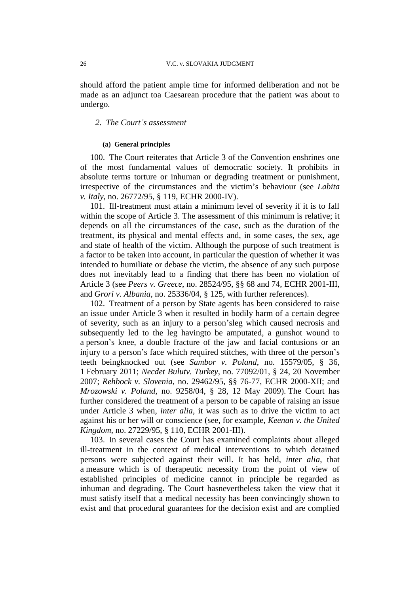should afford the patient ample time for informed deliberation and not be made as an adjunct toa Caesarean procedure that the patient was about to undergo.

#### *2. The Court's assessment*

### **(a) General principles**

100. The Court reiterates that Article 3 of the Convention enshrines one of the most fundamental values of democratic society. It prohibits in absolute terms torture or inhuman or degrading treatment or punishment, irrespective of the circumstances and the victim"s behaviour (see *Labita v. Italy*, no. 26772/95, § 119, ECHR 2000-IV).

101. Ill-treatment must attain a minimum level of severity if it is to fall within the scope of Article 3. The assessment of this minimum is relative; it depends on all the circumstances of the case, such as the duration of the treatment, its physical and mental effects and, in some cases, the sex, age and state of health of the victim. Although the purpose of such treatment is a factor to be taken into account, in particular the question of whether it was intended to humiliate or debase the victim, the absence of any such purpose does not inevitably lead to a finding that there has been no violation of Article 3 (see *Peers v. Greece*, no. 28524/95, §§ 68 and 74, ECHR 2001-III, and *Grori v. Albania*, no. 25336/04, § 125, with further references).

102. Treatment of a person by State agents has been considered to raise an issue under Article 3 when it resulted in bodily harm of a certain degree of severity, such as an injury to a person"sleg which caused necrosis and subsequently led to the leg havingto be amputated, a gunshot wound to a person"s knee, a double fracture of the jaw and facial contusions or an injury to a person's face which required stitches, with three of the person's teeth beingknocked out (see *Sambor v. Poland*, no. 15579/05, § 36, 1 February 2011; *Necdet Bulutv. Turkey*, no. 77092/01, § 24, 20 November 2007; *Rehbock v. Slovenia*, no. 29462/95, §§ 76-77, ECHR 2000-XII; and *Mrozowski v. Poland*, no. 9258/04, § 28, 12 May 2009). The Court has further considered the treatment of a person to be capable of raising an issue under Article 3 when, *inter alia*, it was such as to drive the victim to act against his or her will or conscience (see, for example, *Keenan v. the United Kingdom*, no. 27229/95, § 110, ECHR 2001-III).

103. In several cases the Court has examined complaints about alleged ill-treatment in the context of medical interventions to which detained persons were subjected against their will. It has held, *inter alia*, that a measure which is of therapeutic necessity from the point of view of established principles of medicine cannot in principle be regarded as inhuman and degrading. The Court hasnevertheless taken the view that it must satisfy itself that a medical necessity has been convincingly shown to exist and that procedural guarantees for the decision exist and are complied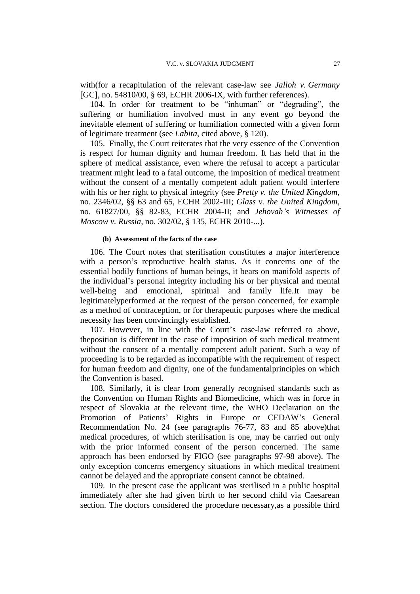with(for a recapitulation of the relevant case-law see *Jalloh v. Germany* [GC], no. 54810/00, § 69, ECHR 2006-IX, with further references).

104. In order for treatment to be "inhuman" or "degrading", the suffering or humiliation involved must in any event go beyond the inevitable element of suffering or humiliation connected with a given form of legitimate treatment (see *Labita*, cited above, § 120).

105. Finally, the Court reiterates that the very essence of the Convention is respect for human dignity and human freedom. It has held that in the sphere of medical assistance, even where the refusal to accept a particular treatment might lead to a fatal outcome, the imposition of medical treatment without the consent of a mentally competent adult patient would interfere with his or her right to physical integrity (see *Pretty v. the United Kingdom*, no. 2346/02, §§ 63 and 65, ECHR 2002-III; *Glass v. the United Kingdom*, no. 61827/00, §§ 82-83, ECHR 2004-II; and *Jehovah's Witnesses of Moscow v. Russia*, no. 302/02, § 135, ECHR 2010-...).

### **(b) Assessment of the facts of the case**

106. The Court notes that sterilisation constitutes a major interference with a person's reproductive health status. As it concerns one of the essential bodily functions of human beings, it bears on manifold aspects of the individual"s personal integrity including his or her physical and mental well-being and emotional, spiritual and family life.It may be legitimatelyperformed at the request of the person concerned, for example as a method of contraception, or for therapeutic purposes where the medical necessity has been convincingly established.

107. However, in line with the Court's case-law referred to above, theposition is different in the case of imposition of such medical treatment without the consent of a mentally competent adult patient. Such a way of proceeding is to be regarded as incompatible with the requirement of respect for human freedom and dignity, one of the fundamentalprinciples on which the Convention is based.

108. Similarly, it is clear from generally recognised standards such as the Convention on Human Rights and Biomedicine, which was in force in respect of Slovakia at the relevant time, the WHO Declaration on the Promotion of Patients' Rights in Europe or CEDAW's General Recommendation No. 24 (see paragraphs 76-77, 83 and 85 above)that medical procedures, of which sterilisation is one, may be carried out only with the prior informed consent of the person concerned. The same approach has been endorsed by FIGO (see paragraphs 97-98 above). The only exception concerns emergency situations in which medical treatment cannot be delayed and the appropriate consent cannot be obtained.

109. In the present case the applicant was sterilised in a public hospital immediately after she had given birth to her second child via Caesarean section. The doctors considered the procedure necessary,as a possible third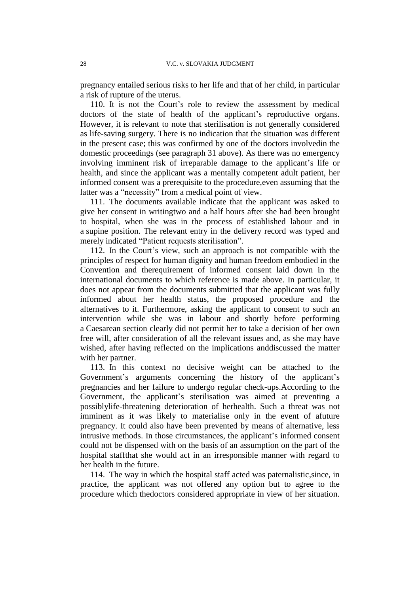pregnancy entailed serious risks to her life and that of her child, in particular a risk of rupture of the uterus.

110. It is not the Court"s role to review the assessment by medical doctors of the state of health of the applicant's reproductive organs. However, it is relevant to note that sterilisation is not generally considered as life-saving surgery. There is no indication that the situation was different in the present case; this was confirmed by one of the doctors involvedin the domestic proceedings (see paragraph 31 above). As there was no emergency involving imminent risk of irreparable damage to the applicant's life or health, and since the applicant was a mentally competent adult patient, her informed consent was a prerequisite to the procedure,even assuming that the latter was a "necessity" from a medical point of view.

111. The documents available indicate that the applicant was asked to give her consent in writingtwo and a half hours after she had been brought to hospital, when she was in the process of established labour and in a supine position. The relevant entry in the delivery record was typed and merely indicated "Patient requests sterilisation".

112. In the Court"s view, such an approach is not compatible with the principles of respect for human dignity and human freedom embodied in the Convention and therequirement of informed consent laid down in the international documents to which reference is made above. In particular, it does not appear from the documents submitted that the applicant was fully informed about her health status, the proposed procedure and the alternatives to it. Furthermore, asking the applicant to consent to such an intervention while she was in labour and shortly before performing a Caesarean section clearly did not permit her to take a decision of her own free will, after consideration of all the relevant issues and, as she may have wished, after having reflected on the implications anddiscussed the matter with her partner.

113. In this context no decisive weight can be attached to the Government's arguments concerning the history of the applicant's pregnancies and her failure to undergo regular check-ups.According to the Government, the applicant's sterilisation was aimed at preventing a possiblylife-threatening deterioration of herhealth. Such a threat was not imminent as it was likely to materialise only in the event of afuture pregnancy. It could also have been prevented by means of alternative, less intrusive methods. In those circumstances, the applicant's informed consent could not be dispensed with on the basis of an assumption on the part of the hospital staffthat she would act in an irresponsible manner with regard to her health in the future.

114. The way in which the hospital staff acted was paternalistic,since, in practice, the applicant was not offered any option but to agree to the procedure which thedoctors considered appropriate in view of her situation.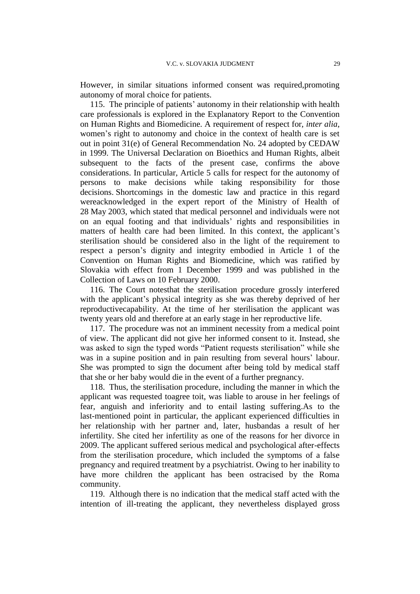However, in similar situations informed consent was required,promoting autonomy of moral choice for patients.

115. The principle of patients" autonomy in their relationship with health care professionals is explored in the Explanatory Report to the Convention on Human Rights and Biomedicine. A requirement of respect for, *inter alia*, women"s right to autonomy and choice in the context of health care is set out in point 31(e) of General Recommendation No. 24 adopted by CEDAW in 1999. The Universal Declaration on Bioethics and Human Rights, albeit subsequent to the facts of the present case, confirms the above considerations. In particular, Article 5 calls for respect for the autonomy of persons to make decisions while taking responsibility for those decisions. Shortcomings in the domestic law and practice in this regard wereacknowledged in the expert report of the Ministry of Health of 28 May 2003, which stated that medical personnel and individuals were not on an equal footing and that individuals" rights and responsibilities in matters of health care had been limited. In this context, the applicant's sterilisation should be considered also in the light of the requirement to respect a person"s dignity and integrity embodied in Article 1 of the Convention on Human Rights and Biomedicine, which was ratified by Slovakia with effect from 1 December 1999 and was published in the Collection of Laws on 10 February 2000.

116. The Court notesthat the sterilisation procedure grossly interfered with the applicant's physical integrity as she was thereby deprived of her reproductivecapability. At the time of her sterilisation the applicant was twenty years old and therefore at an early stage in her reproductive life.

117. The procedure was not an imminent necessity from a medical point of view. The applicant did not give her informed consent to it. Instead, she was asked to sign the typed words "Patient requests sterilisation" while she was in a supine position and in pain resulting from several hours' labour. She was prompted to sign the document after being told by medical staff that she or her baby would die in the event of a further pregnancy.

118. Thus, the sterilisation procedure, including the manner in which the applicant was requested toagree toit, was liable to arouse in her feelings of fear, anguish and inferiority and to entail lasting suffering.As to the last-mentioned point in particular, the applicant experienced difficulties in her relationship with her partner and, later, husbandas a result of her infertility. She cited her infertility as one of the reasons for her divorce in 2009. The applicant suffered serious medical and psychological after-effects from the sterilisation procedure, which included the symptoms of a false pregnancy and required treatment by a psychiatrist. Owing to her inability to have more children the applicant has been ostracised by the Roma community.

119. Although there is no indication that the medical staff acted with the intention of ill-treating the applicant, they nevertheless displayed gross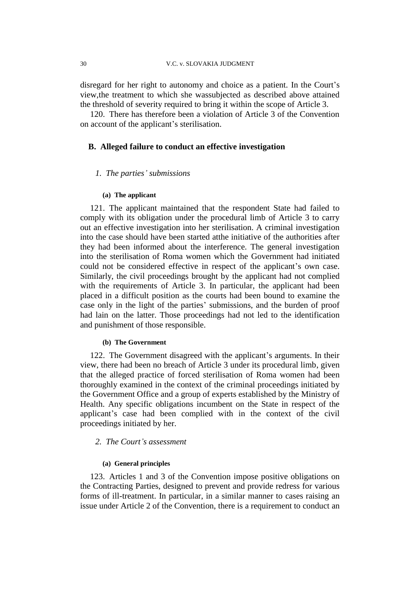disregard for her right to autonomy and choice as a patient. In the Court's view,the treatment to which she wassubjected as described above attained the threshold of severity required to bring it within the scope of Article 3.

120. There has therefore been a violation of Article 3 of the Convention on account of the applicant"s sterilisation.

## **B. Alleged failure to conduct an effective investigation**

## *1. The parties' submissions*

#### **(a) The applicant**

121. The applicant maintained that the respondent State had failed to comply with its obligation under the procedural limb of Article 3 to carry out an effective investigation into her sterilisation. A criminal investigation into the case should have been started atthe initiative of the authorities after they had been informed about the interference. The general investigation into the sterilisation of Roma women which the Government had initiated could not be considered effective in respect of the applicant's own case. Similarly, the civil proceedings brought by the applicant had not complied with the requirements of Article 3. In particular, the applicant had been placed in a difficult position as the courts had been bound to examine the case only in the light of the parties' submissions, and the burden of proof had lain on the latter. Those proceedings had not led to the identification and punishment of those responsible.

### **(b) The Government**

122. The Government disagreed with the applicant's arguments. In their view, there had been no breach of Article 3 under its procedural limb, given that the alleged practice of forced sterilisation of Roma women had been thoroughly examined in the context of the criminal proceedings initiated by the Government Office and a group of experts established by the Ministry of Health. Any specific obligations incumbent on the State in respect of the applicant"s case had been complied with in the context of the civil proceedings initiated by her.

## *2. The Court's assessment*

#### **(a) General principles**

123. Articles 1 and 3 of the Convention impose positive obligations on the Contracting Parties, designed to prevent and provide redress for various forms of ill-treatment. In particular, in a similar manner to cases raising an issue under Article 2 of the Convention, there is a requirement to conduct an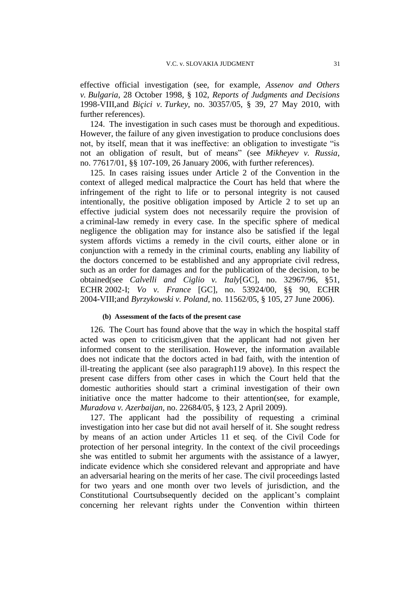effective official investigation (see, for example, *Assenov and Others v. Bulgaria*, 28 October 1998, § 102, *Reports of Judgments and Decisions* 1998-VIII,and *Biçici v. Turkey*, no. 30357/05, § 39, 27 May 2010, with further references).

124. The investigation in such cases must be thorough and expeditious. However, the failure of any given investigation to produce conclusions does not, by itself, mean that it was ineffective: an obligation to investigate "is not an obligation of result, but of means" (see *Mikheyev v. Russia*, no. 77617/01, §§ 107-109, 26 January 2006, with further references).

125. In cases raising issues under Article 2 of the Convention in the context of alleged medical malpractice the Court has held that where the infringement of the right to life or to personal integrity is not caused intentionally, the positive obligation imposed by Article 2 to set up an effective judicial system does not necessarily require the provision of a criminal-law remedy in every case. In the specific sphere of medical negligence the obligation may for instance also be satisfied if the legal system affords victims a remedy in the civil courts, either alone or in conjunction with a remedy in the criminal courts, enabling any liability of the doctors concerned to be established and any appropriate civil redress, such as an order for damages and for the publication of the decision, to be obtained(see *Calvelli and Ciglio v. Italy*[GC], no. 32967/96, §51, ECHR 2002-I; *Vo v. France* [GC], no. 53924/00, §§ 90, ECHR 2004-VIII;and *Byrzykowski v. Poland*, no. 11562/05, § 105, 27 June 2006).

### **(b) Assessment of the facts of the present case**

126. The Court has found above that the way in which the hospital staff acted was open to criticism,given that the applicant had not given her informed consent to the sterilisation. However, the information available does not indicate that the doctors acted in bad faith, with the intention of ill-treating the applicant (see also paragraph119 above). In this respect the present case differs from other cases in which the Court held that the domestic authorities should start a criminal investigation of their own initiative once the matter hadcome to their attention(see, for example, *Muradova v. Azerbaijan*, no. 22684/05, § 123, 2 April 2009).

127. The applicant had the possibility of requesting a criminal investigation into her case but did not avail herself of it. She sought redress by means of an action under Articles 11 et seq. of the Civil Code for protection of her personal integrity. In the context of the civil proceedings she was entitled to submit her arguments with the assistance of a lawyer, indicate evidence which she considered relevant and appropriate and have an adversarial hearing on the merits of her case. The civil proceedings lasted for two years and one month over two levels of jurisdiction, and the Constitutional Courtsubsequently decided on the applicant"s complaint concerning her relevant rights under the Convention within thirteen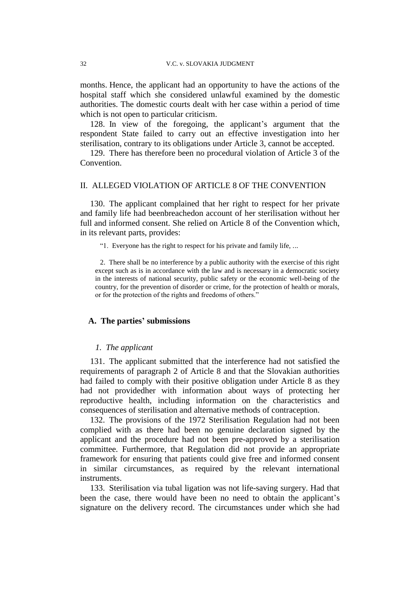months. Hence, the applicant had an opportunity to have the actions of the hospital staff which she considered unlawful examined by the domestic authorities. The domestic courts dealt with her case within a period of time which is not open to particular criticism.

128. In view of the foregoing, the applicant's argument that the respondent State failed to carry out an effective investigation into her sterilisation, contrary to its obligations under Article 3, cannot be accepted.

129. There has therefore been no procedural violation of Article 3 of the Convention.

## II. ALLEGED VIOLATION OF ARTICLE 8 OF THE CONVENTION

130. The applicant complained that her right to respect for her private and family life had beenbreachedon account of her sterilisation without her full and informed consent. She relied on Article 8 of the Convention which, in its relevant parts, provides:

"1. Everyone has the right to respect for his private and family life, ...

2. There shall be no interference by a public authority with the exercise of this right except such as is in accordance with the law and is necessary in a democratic society in the interests of national security, public safety or the economic well-being of the country, for the prevention of disorder or crime, for the protection of health or morals, or for the protection of the rights and freedoms of others."

## **A. The parties' submissions**

## *1. The applicant*

131. The applicant submitted that the interference had not satisfied the requirements of paragraph 2 of Article 8 and that the Slovakian authorities had failed to comply with their positive obligation under Article 8 as they had not providedher with information about ways of protecting her reproductive health, including information on the characteristics and consequences of sterilisation and alternative methods of contraception.

132. The provisions of the 1972 Sterilisation Regulation had not been complied with as there had been no genuine declaration signed by the applicant and the procedure had not been pre-approved by a sterilisation committee. Furthermore, that Regulation did not provide an appropriate framework for ensuring that patients could give free and informed consent in similar circumstances, as required by the relevant international instruments.

133. Sterilisation via tubal ligation was not life-saving surgery. Had that been the case, there would have been no need to obtain the applicant's signature on the delivery record. The circumstances under which she had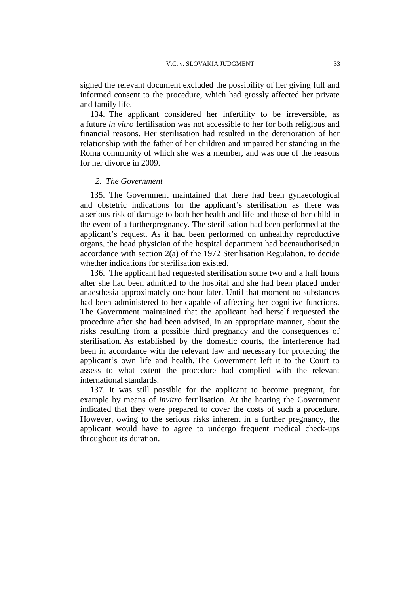signed the relevant document excluded the possibility of her giving full and informed consent to the procedure, which had grossly affected her private and family life.

134. The applicant considered her infertility to be irreversible, as a future *in vitro* fertilisation was not accessible to her for both religious and financial reasons. Her sterilisation had resulted in the deterioration of her relationship with the father of her children and impaired her standing in the Roma community of which she was a member, and was one of the reasons for her divorce in 2009.

## *2. The Government*

135. The Government maintained that there had been gynaecological and obstetric indications for the applicant"s sterilisation as there was a serious risk of damage to both her health and life and those of her child in the event of a furtherpregnancy. The sterilisation had been performed at the applicant"s request. As it had been performed on unhealthy reproductive organs, the head physician of the hospital department had beenauthorised,in accordance with section 2(a) of the 1972 Sterilisation Regulation, to decide whether indications for sterilisation existed.

136. The applicant had requested sterilisation some two and a half hours after she had been admitted to the hospital and she had been placed under anaesthesia approximately one hour later. Until that moment no substances had been administered to her capable of affecting her cognitive functions. The Government maintained that the applicant had herself requested the procedure after she had been advised, in an appropriate manner, about the risks resulting from a possible third pregnancy and the consequences of sterilisation. As established by the domestic courts, the interference had been in accordance with the relevant law and necessary for protecting the applicant"s own life and health. The Government left it to the Court to assess to what extent the procedure had complied with the relevant international standards.

137. It was still possible for the applicant to become pregnant, for example by means of *invitro* fertilisation. At the hearing the Government indicated that they were prepared to cover the costs of such a procedure. However, owing to the serious risks inherent in a further pregnancy, the applicant would have to agree to undergo frequent medical check-ups throughout its duration.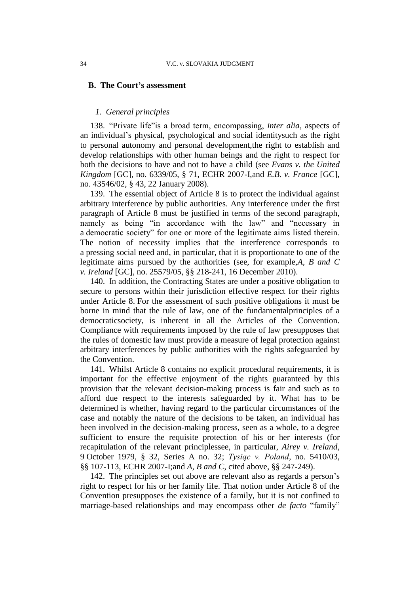#### **B. The Court's assessment**

## *1. General principles*

138. "Private life"is a broad term, encompassing, *inter alia*, aspects of an individual"s physical, psychological and social identitysuch as the right to personal autonomy and personal development,the right to establish and develop relationships with other human beings and the right to respect for both the decisions to have and not to have a child (see *Evans v. the United Kingdom* [GC], no. 6339/05, § 71, ECHR 2007-I,and *E.B. v. France* [GC], no. 43546/02, § 43, 22 January 2008).

139. The essential object of Article 8 is to protect the individual against arbitrary interference by public authorities. Any interference under the first paragraph of Article 8 must be justified in terms of the second paragraph, namely as being "in accordance with the law" and "necessary in a democratic society" for one or more of the legitimate aims listed therein. The notion of necessity implies that the interference corresponds to a pressing social need and, in particular, that it is proportionate to one of the legitimate aims pursued by the authorities (see, for example,*A, B and C v. Ireland* [GC], no. 25579/05, §§ 218-241, 16 December 2010).

140. In addition, the Contracting States are under a positive obligation to secure to persons within their jurisdiction effective respect for their rights under Article 8. For the assessment of such positive obligations it must be borne in mind that the rule of law, one of the fundamentalprinciples of a democraticsociety, is inherent in all the Articles of the Convention. Compliance with requirements imposed by the rule of law presupposes that the rules of domestic law must provide a measure of legal protection against arbitrary interferences by public authorities with the rights safeguarded by the Convention.

141. Whilst Article 8 contains no explicit procedural requirements, it is important for the effective enjoyment of the rights guaranteed by this provision that the relevant decision-making process is fair and such as to afford due respect to the interests safeguarded by it. What has to be determined is whether, having regard to the particular circumstances of the case and notably the nature of the decisions to be taken, an individual has been involved in the decision-making process, seen as a whole, to a degree sufficient to ensure the requisite protection of his or her interests (for recapitulation of the relevant principlessee, in particular, *Airey v. Ireland*, 9 October 1979, § 32, Series A no. 32; *Tysiąc v. Poland,* no. 5410/03, §§ 107-113, ECHR 2007-I;and *A, B and C,* cited above, §§ 247-249).

142. The principles set out above are relevant also as regards a person"s right to respect for his or her family life. That notion under Article 8 of the Convention presupposes the existence of a family, but it is not confined to marriage-based relationships and may encompass other *de facto* "family"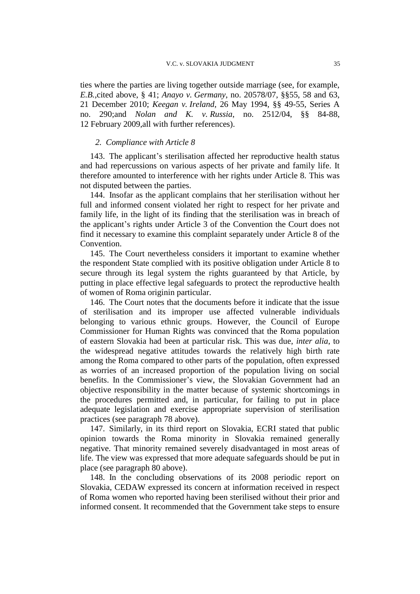ties where the parties are living together outside marriage (see, for example, *E.B.,*cited above, § 41; *Anayo v. Germany*, no. 20578/07, §§55, 58 and 63, 21 December 2010; *Keegan v. Ireland*, 26 May 1994, §§ 49-55, Series A no. 290;and *Nolan and K. v. Russia*, no. 2512/04, §§ 84-88, 12 February 2009,all with further references).

## *2. Compliance with Article 8*

143. The applicant"s sterilisation affected her reproductive health status and had repercussions on various aspects of her private and family life. It therefore amounted to interference with her rights under Article 8. This was not disputed between the parties.

144. Insofar as the applicant complains that her sterilisation without her full and informed consent violated her right to respect for her private and family life, in the light of its finding that the sterilisation was in breach of the applicant"s rights under Article 3 of the Convention the Court does not find it necessary to examine this complaint separately under Article 8 of the Convention.

145. The Court nevertheless considers it important to examine whether the respondent State complied with its positive obligation under Article 8 to secure through its legal system the rights guaranteed by that Article, by putting in place effective legal safeguards to protect the reproductive health of women of Roma originin particular.

146. The Court notes that the documents before it indicate that the issue of sterilisation and its improper use affected vulnerable individuals belonging to various ethnic groups. However, the Council of Europe Commissioner for Human Rights was convinced that the Roma population of eastern Slovakia had been at particular risk. This was due, *inter alia*, to the widespread negative attitudes towards the relatively high birth rate among the Roma compared to other parts of the population, often expressed as worries of an increased proportion of the population living on social benefits. In the Commissioner's view, the Slovakian Government had an objective responsibility in the matter because of systemic shortcomings in the procedures permitted and, in particular, for failing to put in place adequate legislation and exercise appropriate supervision of sterilisation practices (see paragraph 78 above).

147. Similarly, in its third report on Slovakia, ECRI stated that public opinion towards the Roma minority in Slovakia remained generally negative. That minority remained severely disadvantaged in most areas of life. The view was expressed that more adequate safeguards should be put in place (see paragraph 80 above).

148. In the concluding observations of its 2008 periodic report on Slovakia, CEDAW expressed its concern at information received in respect of Roma women who reported having been sterilised without their prior and informed consent. It recommended that the Government take steps to ensure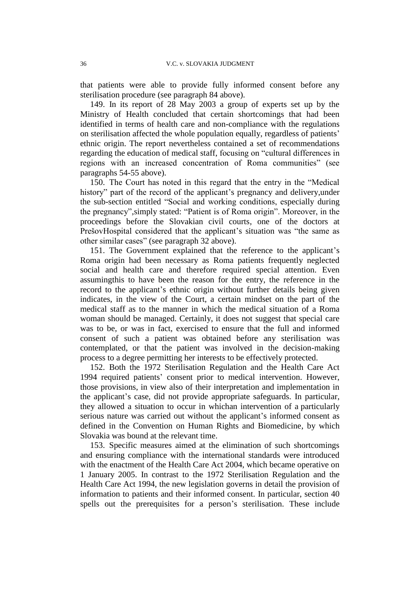that patients were able to provide fully informed consent before any sterilisation procedure (see paragraph 84 above).

149. In its report of 28 May 2003 a group of experts set up by the Ministry of Health concluded that certain shortcomings that had been identified in terms of health care and non-compliance with the regulations on sterilisation affected the whole population equally, regardless of patients' ethnic origin. The report nevertheless contained a set of recommendations regarding the education of medical staff, focusing on "cultural differences in regions with an increased concentration of Roma communities" (see paragraphs 54-55 above).

150. The Court has noted in this regard that the entry in the "Medical history" part of the record of the applicant's pregnancy and delivery, under the sub-section entitled "Social and working conditions, especially during the pregnancy",simply stated: "Patient is of Roma origin". Moreover, in the proceedings before the Slovakian civil courts, one of the doctors at PrešovHospital considered that the applicant's situation was "the same as other similar cases" (see paragraph 32 above).

151. The Government explained that the reference to the applicant"s Roma origin had been necessary as Roma patients frequently neglected social and health care and therefore required special attention. Even assumingthis to have been the reason for the entry, the reference in the record to the applicant"s ethnic origin without further details being given indicates, in the view of the Court, a certain mindset on the part of the medical staff as to the manner in which the medical situation of a Roma woman should be managed. Certainly, it does not suggest that special care was to be, or was in fact, exercised to ensure that the full and informed consent of such a patient was obtained before any sterilisation was contemplated, or that the patient was involved in the decision-making process to a degree permitting her interests to be effectively protected.

152. Both the 1972 Sterilisation Regulation and the Health Care Act 1994 required patients" consent prior to medical intervention. However, those provisions, in view also of their interpretation and implementation in the applicant"s case, did not provide appropriate safeguards. In particular, they allowed a situation to occur in whichan intervention of a particularly serious nature was carried out without the applicant's informed consent as defined in the Convention on Human Rights and Biomedicine, by which Slovakia was bound at the relevant time.

153. Specific measures aimed at the elimination of such shortcomings and ensuring compliance with the international standards were introduced with the enactment of the Health Care Act 2004, which became operative on 1 January 2005. In contrast to the 1972 Sterilisation Regulation and the Health Care Act 1994, the new legislation governs in detail the provision of information to patients and their informed consent. In particular, section 40 spells out the prerequisites for a person"s sterilisation. These include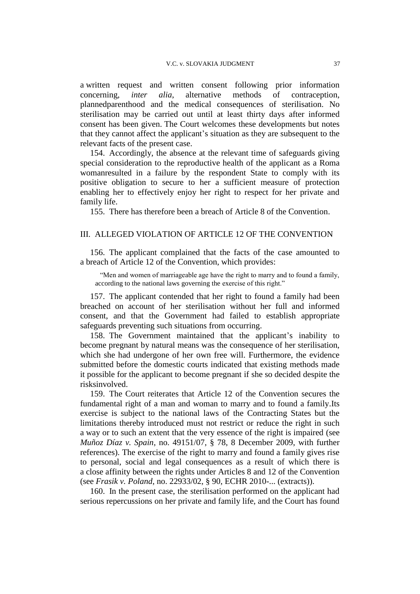a written request and written consent following prior information concerning, *inter alia*, alternative methods of contraception, plannedparenthood and the medical consequences of sterilisation. No sterilisation may be carried out until at least thirty days after informed consent has been given. The Court welcomes these developments but notes that they cannot affect the applicant"s situation as they are subsequent to the relevant facts of the present case.

154. Accordingly, the absence at the relevant time of safeguards giving special consideration to the reproductive health of the applicant as a Roma womanresulted in a failure by the respondent State to comply with its positive obligation to secure to her a sufficient measure of protection enabling her to effectively enjoy her right to respect for her private and family life.

155. There has therefore been a breach of Article 8 of the Convention.

## III. ALLEGED VIOLATION OF ARTICLE 12 OF THE CONVENTION

156. The applicant complained that the facts of the case amounted to a breach of Article 12 of the Convention, which provides:

"Men and women of marriageable age have the right to marry and to found a family, according to the national laws governing the exercise of this right."

157. The applicant contended that her right to found a family had been breached on account of her sterilisation without her full and informed consent, and that the Government had failed to establish appropriate safeguards preventing such situations from occurring.

158. The Government maintained that the applicant"s inability to become pregnant by natural means was the consequence of her sterilisation, which she had undergone of her own free will. Furthermore, the evidence submitted before the domestic courts indicated that existing methods made it possible for the applicant to become pregnant if she so decided despite the risksinvolved.

159. The Court reiterates that Article 12 of the Convention secures the fundamental right of a man and woman to marry and to found a family.Its exercise is subject to the national laws of the Contracting States but the limitations thereby introduced must not restrict or reduce the right in such a way or to such an extent that the very essence of the right is impaired (see *Muñoz Díaz v. Spain*, no. 49151/07, § 78, 8 December 2009, with further references). The exercise of the right to marry and found a family gives rise to personal, social and legal consequences as a result of which there is a close affinity between the rights under Articles 8 and 12 of the Convention (see *Frasik v. Poland*, no. 22933/02, § 90, ECHR 2010-... (extracts)).

160. In the present case, the sterilisation performed on the applicant had serious repercussions on her private and family life, and the Court has found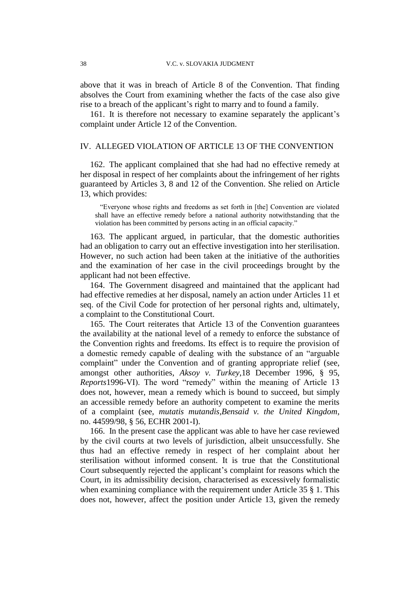above that it was in breach of Article 8 of the Convention. That finding absolves the Court from examining whether the facts of the case also give rise to a breach of the applicant's right to marry and to found a family.

161. It is therefore not necessary to examine separately the applicant"s complaint under Article 12 of the Convention.

## IV. ALLEGED VIOLATION OF ARTICLE 13 OF THE CONVENTION

162. The applicant complained that she had had no effective remedy at her disposal in respect of her complaints about the infringement of her rights guaranteed by Articles 3, 8 and 12 of the Convention. She relied on Article 13, which provides:

"Everyone whose rights and freedoms as set forth in [the] Convention are violated shall have an effective remedy before a national authority notwithstanding that the violation has been committed by persons acting in an official capacity."

163. The applicant argued, in particular, that the domestic authorities had an obligation to carry out an effective investigation into her sterilisation. However, no such action had been taken at the initiative of the authorities and the examination of her case in the civil proceedings brought by the applicant had not been effective.

164. The Government disagreed and maintained that the applicant had had effective remedies at her disposal, namely an action under Articles 11 et seq. of the Civil Code for protection of her personal rights and, ultimately, a complaint to the Constitutional Court.

165. The Court reiterates that Article 13 of the Convention guarantees the availability at the national level of a remedy to enforce the substance of the Convention rights and freedoms. Its effect is to require the provision of a domestic remedy capable of dealing with the substance of an "arguable complaint" under the Convention and of granting appropriate relief (see, amongst other authorities, *Aksoy v. Turkey,*18 December 1996, § 95, *Reports*1996-VI). The word "remedy" within the meaning of Article 13 does not, however, mean a remedy which is bound to succeed, but simply an accessible remedy before an authority competent to examine the merits of a complaint (see, *mutatis mutandis,Bensaid v. the United Kingdom*, no. 44599/98, § 56, ECHR 2001-I).

166. In the present case the applicant was able to have her case reviewed by the civil courts at two levels of jurisdiction, albeit unsuccessfully. She thus had an effective remedy in respect of her complaint about her sterilisation without informed consent. It is true that the Constitutional Court subsequently rejected the applicant"s complaint for reasons which the Court, in its admissibility decision, characterised as excessively formalistic when examining compliance with the requirement under Article 35 § 1. This does not, however, affect the position under Article 13, given the remedy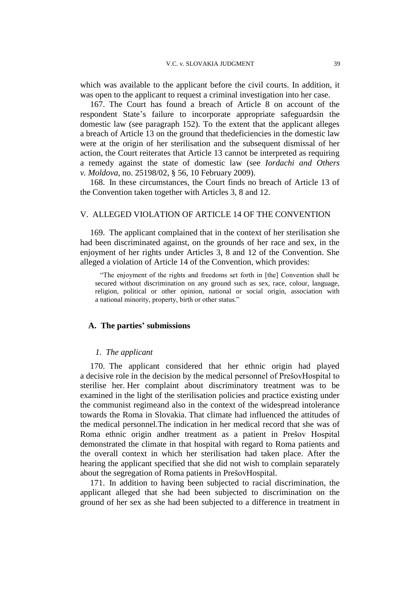which was available to the applicant before the civil courts. In addition, it was open to the applicant to request a criminal investigation into her case.

167. The Court has found a breach of Article 8 on account of the respondent State"s failure to incorporate appropriate safeguardsin the domestic law (see paragraph 152). To the extent that the applicant alleges a breach of Article 13 on the ground that thedeficiencies in the domestic law were at the origin of her sterilisation and the subsequent dismissal of her action, the Court reiterates that Article 13 cannot be interpreted as requiring a remedy against the state of domestic law (see *Iordachi and Others v. Moldova*, no. 25198/02, § 56, 10 February 2009).

168. In these circumstances, the Court finds no breach of Article 13 of the Convention taken together with Articles 3, 8 and 12.

## V. ALLEGED VIOLATION OF ARTICLE 14 OF THE CONVENTION

169. The applicant complained that in the context of her sterilisation she had been discriminated against, on the grounds of her race and sex, in the enjoyment of her rights under Articles 3, 8 and 12 of the Convention. She alleged a violation of Article 14 of the Convention, which provides:

"The enjoyment of the rights and freedoms set forth in [the] Convention shall be secured without discrimination on any ground such as sex, race, colour, language, religion, political or other opinion, national or social origin, association with a national minority, property, birth or other status."

#### **A. The parties' submissions**

## *1. The applicant*

170. The applicant considered that her ethnic origin had played a decisive role in the decision by the medical personnel of PrešovHospital to sterilise her. Her complaint about discriminatory treatment was to be examined in the light of the sterilisation policies and practice existing under the communist regimeand also in the context of the widespread intolerance towards the Roma in Slovakia. That climate had influenced the attitudes of the medical personnel.The indication in her medical record that she was of Roma ethnic origin andher treatment as a patient in Prešov Hospital demonstrated the climate in that hospital with regard to Roma patients and the overall context in which her sterilisation had taken place. After the hearing the applicant specified that she did not wish to complain separately about the segregation of Roma patients in PrešovHospital.

171. In addition to having been subjected to racial discrimination, the applicant alleged that she had been subjected to discrimination on the ground of her sex as she had been subjected to a difference in treatment in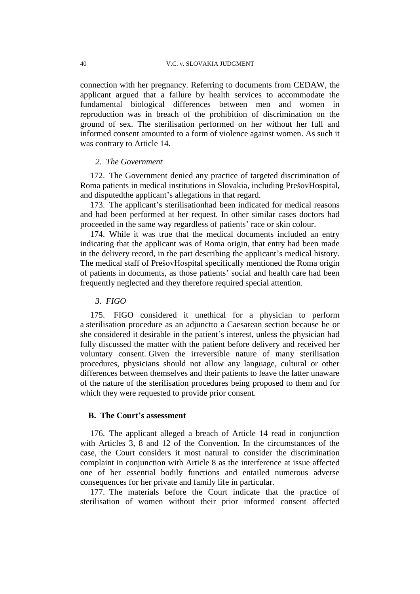connection with her pregnancy. Referring to documents from CEDAW, the applicant argued that a failure by health services to accommodate the fundamental biological differences between men and women in reproduction was in breach of the prohibition of discrimination on the ground of sex. The sterilisation performed on her without her full and informed consent amounted to a form of violence against women. As such it was contrary to Article 14.

## *2. The Government*

172. The Government denied any practice of targeted discrimination of Roma patients in medical institutions in Slovakia, including PrešovHospital, and disputed the applicant's allegations in that regard.

173. The applicant"s sterilisationhad been indicated for medical reasons and had been performed at her request. In other similar cases doctors had proceeded in the same way regardless of patients" race or skin colour.

174. While it was true that the medical documents included an entry indicating that the applicant was of Roma origin, that entry had been made in the delivery record, in the part describing the applicant's medical history. The medical staff of PrešovHospital specifically mentioned the Roma origin of patients in documents, as those patients" social and health care had been frequently neglected and they therefore required special attention.

## *3. FIGO*

175. FIGO considered it unethical for a physician to perform a sterilisation procedure as an adjunctto a Caesarean section because he or she considered it desirable in the patient"s interest, unless the physician had fully discussed the matter with the patient before delivery and received her voluntary consent. Given the irreversible nature of many sterilisation procedures, physicians should not allow any language, cultural or other differences between themselves and their patients to leave the latter unaware of the nature of the sterilisation procedures being proposed to them and for which they were requested to provide prior consent.

## **B. The Court's assessment**

176. The applicant alleged a breach of Article 14 read in conjunction with Articles  $\overline{3}$ , 8 and 12 of the Convention. In the circumstances of the case, the Court considers it most natural to consider the discrimination complaint in conjunction with Article 8 as the interference at issue affected one of her essential bodily functions and entailed numerous adverse consequences for her private and family life in particular.

177. The materials before the Court indicate that the practice of sterilisation of women without their prior informed consent affected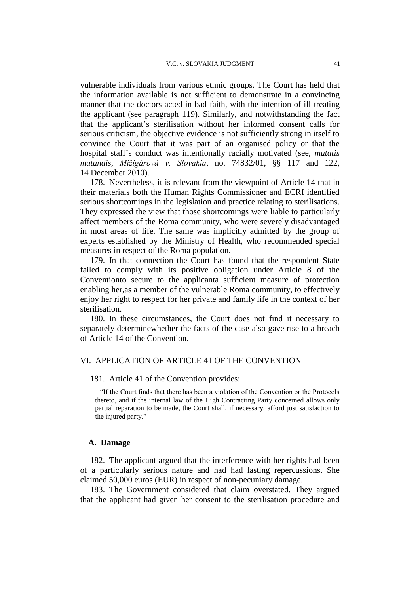vulnerable individuals from various ethnic groups. The Court has held that the information available is not sufficient to demonstrate in a convincing manner that the doctors acted in bad faith, with the intention of ill-treating the applicant (see paragraph 119). Similarly, and notwithstanding the fact that the applicant"s sterilisation without her informed consent calls for serious criticism, the objective evidence is not sufficiently strong in itself to convince the Court that it was part of an organised policy or that the hospital staff"s conduct was intentionally racially motivated (see, *mutatis mutandis, Mižigárová v. Slovakia*, no. 74832/01, §§ 117 and 122, 14 December 2010).

178. Nevertheless, it is relevant from the viewpoint of Article 14 that in their materials both the Human Rights Commissioner and ECRI identified serious shortcomings in the legislation and practice relating to sterilisations. They expressed the view that those shortcomings were liable to particularly affect members of the Roma community, who were severely disadvantaged in most areas of life. The same was implicitly admitted by the group of experts established by the Ministry of Health, who recommended special measures in respect of the Roma population.

179. In that connection the Court has found that the respondent State failed to comply with its positive obligation under Article 8 of the Conventionto secure to the applicanta sufficient measure of protection enabling her,as a member of the vulnerable Roma community, to effectively enjoy her right to respect for her private and family life in the context of her sterilisation.

180. In these circumstances, the Court does not find it necessary to separately determinewhether the facts of the case also gave rise to a breach of Article 14 of the Convention.

## VI. APPLICATION OF ARTICLE 41 OF THE CONVENTION

181. Article 41 of the Convention provides:

"If the Court finds that there has been a violation of the Convention or the Protocols thereto, and if the internal law of the High Contracting Party concerned allows only partial reparation to be made, the Court shall, if necessary, afford just satisfaction to the injured party."

#### **A. Damage**

182. The applicant argued that the interference with her rights had been of a particularly serious nature and had had lasting repercussions. She claimed 50,000 euros (EUR) in respect of non-pecuniary damage.

183. The Government considered that claim overstated. They argued that the applicant had given her consent to the sterilisation procedure and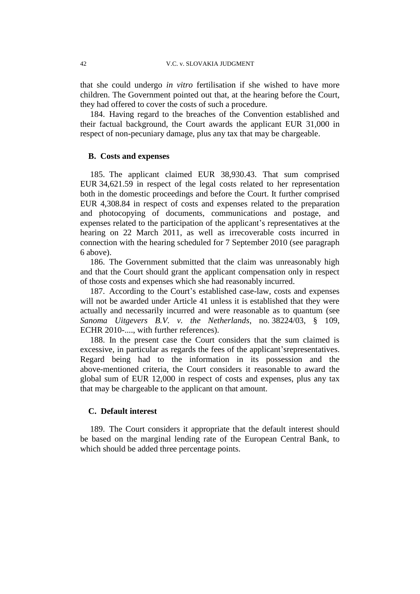that she could undergo *in vitro* fertilisation if she wished to have more children. The Government pointed out that, at the hearing before the Court, they had offered to cover the costs of such a procedure.

184. Having regard to the breaches of the Convention established and their factual background, the Court awards the applicant EUR 31,000 in respect of non-pecuniary damage, plus any tax that may be chargeable.

## **B. Costs and expenses**

185. The applicant claimed EUR 38,930.43. That sum comprised EUR 34,621.59 in respect of the legal costs related to her representation both in the domestic proceedings and before the Court. It further comprised EUR 4,308.84 in respect of costs and expenses related to the preparation and photocopying of documents, communications and postage, and expenses related to the participation of the applicant's representatives at the hearing on 22 March 2011, as well as irrecoverable costs incurred in connection with the hearing scheduled for 7 September 2010 (see paragraph 6 above).

186. The Government submitted that the claim was unreasonably high and that the Court should grant the applicant compensation only in respect of those costs and expenses which she had reasonably incurred.

187. According to the Court's established case-law, costs and expenses will not be awarded under Article 41 unless it is established that they were actually and necessarily incurred and were reasonable as to quantum (see *Sanoma Uitgevers B.V. v. the Netherlands*, no. 38224/03, § 109, ECHR 2010-...., with further references).

188. In the present case the Court considers that the sum claimed is excessive, in particular as regards the fees of the applicant'srepresentatives. Regard being had to the information in its possession and the above-mentioned criteria, the Court considers it reasonable to award the global sum of EUR 12,000 in respect of costs and expenses, plus any tax that may be chargeable to the applicant on that amount.

## **C. Default interest**

189. The Court considers it appropriate that the default interest should be based on the marginal lending rate of the European Central Bank, to which should be added three percentage points.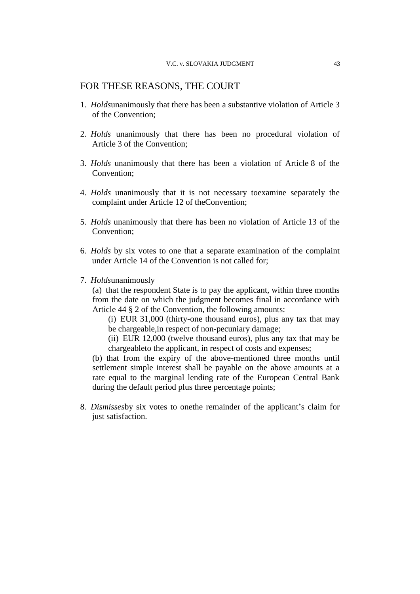## FOR THESE REASONS, THE COURT

- 1. *Holds*unanimously that there has been a substantive violation of Article 3 of the Convention;
- 2. *Holds* unanimously that there has been no procedural violation of Article 3 of the Convention;
- 3. *Holds* unanimously that there has been a violation of Article 8 of the Convention;
- 4. *Holds* unanimously that it is not necessary toexamine separately the complaint under Article 12 of theConvention;
- 5. *Holds* unanimously that there has been no violation of Article 13 of the Convention;
- 6. *Holds* by six votes to one that a separate examination of the complaint under Article 14 of the Convention is not called for;
- 7. *Holds*unanimously

(a) that the respondent State is to pay the applicant, within three months from the date on which the judgment becomes final in accordance with Article 44 § 2 of the Convention, the following amounts:

(i) EUR 31,000 (thirty-one thousand euros), plus any tax that may be chargeable,in respect of non-pecuniary damage;

(ii) EUR 12,000 (twelve thousand euros), plus any tax that may be chargeableto the applicant, in respect of costs and expenses;

(b) that from the expiry of the above-mentioned three months until settlement simple interest shall be payable on the above amounts at a rate equal to the marginal lending rate of the European Central Bank during the default period plus three percentage points;

8. *Dismisses*by six votes to onethe remainder of the applicant"s claim for just satisfaction.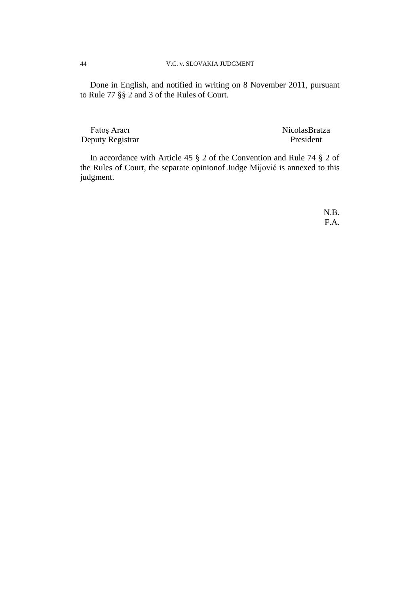Done in English, and notified in writing on 8 November 2011, pursuant to Rule 77 §§ 2 and 3 of the Rules of Court.

Deputy Registrar President

Fatoş Aracı Nicolas Bratza

In accordance with Article 45 § 2 of the Convention and Rule 74 § 2 of the Rules of Court, the separate opinionof Judge Mijović is annexed to this judgment.

> N.B. F.A.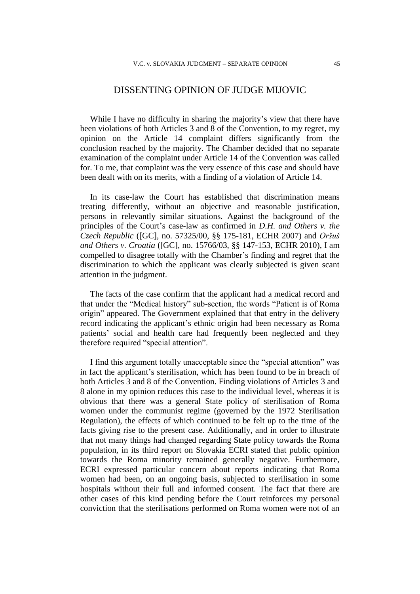## DISSENTING OPINION OF JUDGE MIJOVIC

While I have no difficulty in sharing the majority's view that there have been violations of both Articles 3 and 8 of the Convention, to my regret, my opinion on the Article 14 complaint differs significantly from the conclusion reached by the majority. The Chamber decided that no separate examination of the complaint under Article 14 of the Convention was called for. To me, that complaint was the very essence of this case and should have been dealt with on its merits, with a finding of a violation of Article 14.

In its case-law the Court has established that discrimination means treating differently, without an objective and reasonable justification, persons in relevantly similar situations. Against the background of the principles of the Court's case-law as confirmed in *D.H. and Others v. the Czech Republic* ([GC], no. 57325/00, §§ 175-181, ECHR 2007) and *Oršuš and Others v. Croatia* ([GC], no. 15766/03, §§ 147-153, ECHR 2010), I am compelled to disagree totally with the Chamber"s finding and regret that the discrimination to which the applicant was clearly subjected is given scant attention in the judgment.

The facts of the case confirm that the applicant had a medical record and that under the "Medical history" sub-section, the words "Patient is of Roma origin" appeared. The Government explained that that entry in the delivery record indicating the applicant's ethnic origin had been necessary as Roma patients" social and health care had frequently been neglected and they therefore required "special attention".

I find this argument totally unacceptable since the "special attention" was in fact the applicant"s sterilisation, which has been found to be in breach of both Articles 3 and 8 of the Convention. Finding violations of Articles 3 and 8 alone in my opinion reduces this case to the individual level, whereas it is obvious that there was a general State policy of sterilisation of Roma women under the communist regime (governed by the 1972 Sterilisation Regulation), the effects of which continued to be felt up to the time of the facts giving rise to the present case. Additionally, and in order to illustrate that not many things had changed regarding State policy towards the Roma population, in its third report on Slovakia ECRI stated that public opinion towards the Roma minority remained generally negative. Furthermore, ECRI expressed particular concern about reports indicating that Roma women had been, on an ongoing basis, subjected to sterilisation in some hospitals without their full and informed consent. The fact that there are other cases of this kind pending before the Court reinforces my personal conviction that the sterilisations performed on Roma women were not of an